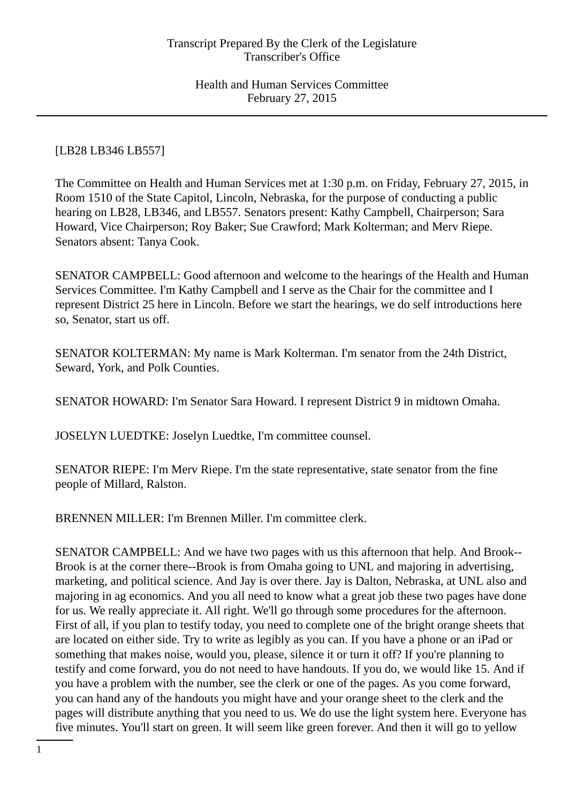# [LB28 LB346 LB557]

The Committee on Health and Human Services met at 1:30 p.m. on Friday, February 27, 2015, in Room 1510 of the State Capitol, Lincoln, Nebraska, for the purpose of conducting a public hearing on LB28, LB346, and LB557. Senators present: Kathy Campbell, Chairperson; Sara Howard, Vice Chairperson; Roy Baker; Sue Crawford; Mark Kolterman; and Merv Riepe. Senators absent: Tanya Cook.

SENATOR CAMPBELL: Good afternoon and welcome to the hearings of the Health and Human Services Committee. I'm Kathy Campbell and I serve as the Chair for the committee and I represent District 25 here in Lincoln. Before we start the hearings, we do self introductions here so, Senator, start us off.

SENATOR KOLTERMAN: My name is Mark Kolterman. I'm senator from the 24th District, Seward, York, and Polk Counties.

SENATOR HOWARD: I'm Senator Sara Howard. I represent District 9 in midtown Omaha.

JOSELYN LUEDTKE: Joselyn Luedtke, I'm committee counsel.

SENATOR RIEPE: I'm Merv Riepe. I'm the state representative, state senator from the fine people of Millard, Ralston.

BRENNEN MILLER: I'm Brennen Miller. I'm committee clerk.

SENATOR CAMPBELL: And we have two pages with us this afternoon that help. And Brook-- Brook is at the corner there--Brook is from Omaha going to UNL and majoring in advertising, marketing, and political science. And Jay is over there. Jay is Dalton, Nebraska, at UNL also and majoring in ag economics. And you all need to know what a great job these two pages have done for us. We really appreciate it. All right. We'll go through some procedures for the afternoon. First of all, if you plan to testify today, you need to complete one of the bright orange sheets that are located on either side. Try to write as legibly as you can. If you have a phone or an iPad or something that makes noise, would you, please, silence it or turn it off? If you're planning to testify and come forward, you do not need to have handouts. If you do, we would like 15. And if you have a problem with the number, see the clerk or one of the pages. As you come forward, you can hand any of the handouts you might have and your orange sheet to the clerk and the pages will distribute anything that you need to us. We do use the light system here. Everyone has five minutes. You'll start on green. It will seem like green forever. And then it will go to yellow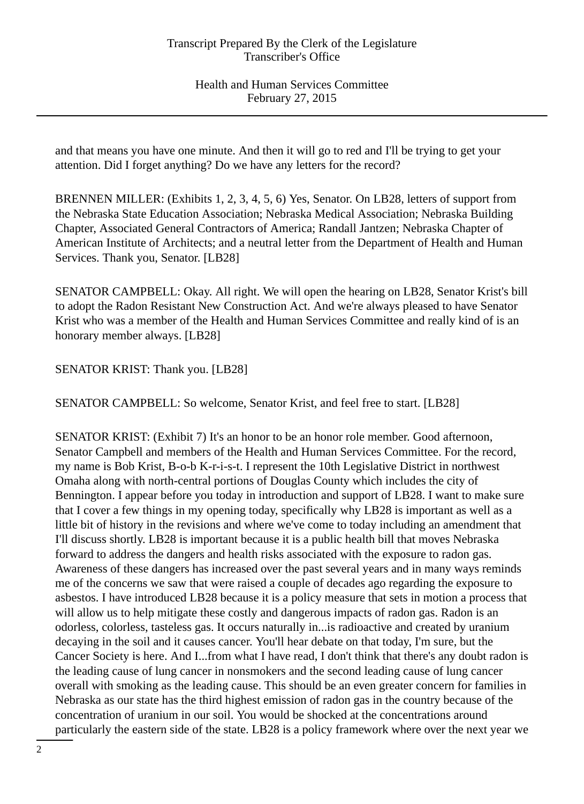and that means you have one minute. And then it will go to red and I'll be trying to get your attention. Did I forget anything? Do we have any letters for the record?

BRENNEN MILLER: (Exhibits 1, 2, 3, 4, 5, 6) Yes, Senator. On LB28, letters of support from the Nebraska State Education Association; Nebraska Medical Association; Nebraska Building Chapter, Associated General Contractors of America; Randall Jantzen; Nebraska Chapter of American Institute of Architects; and a neutral letter from the Department of Health and Human Services. Thank you, Senator. [LB28]

SENATOR CAMPBELL: Okay. All right. We will open the hearing on LB28, Senator Krist's bill to adopt the Radon Resistant New Construction Act. And we're always pleased to have Senator Krist who was a member of the Health and Human Services Committee and really kind of is an honorary member always. [LB28]

SENATOR KRIST: Thank you. [LB28]

SENATOR CAMPBELL: So welcome, Senator Krist, and feel free to start. [LB28]

SENATOR KRIST: (Exhibit 7) It's an honor to be an honor role member. Good afternoon, Senator Campbell and members of the Health and Human Services Committee. For the record, my name is Bob Krist, B-o-b K-r-i-s-t. I represent the 10th Legislative District in northwest Omaha along with north-central portions of Douglas County which includes the city of Bennington. I appear before you today in introduction and support of LB28. I want to make sure that I cover a few things in my opening today, specifically why LB28 is important as well as a little bit of history in the revisions and where we've come to today including an amendment that I'll discuss shortly. LB28 is important because it is a public health bill that moves Nebraska forward to address the dangers and health risks associated with the exposure to radon gas. Awareness of these dangers has increased over the past several years and in many ways reminds me of the concerns we saw that were raised a couple of decades ago regarding the exposure to asbestos. I have introduced LB28 because it is a policy measure that sets in motion a process that will allow us to help mitigate these costly and dangerous impacts of radon gas. Radon is an odorless, colorless, tasteless gas. It occurs naturally in...is radioactive and created by uranium decaying in the soil and it causes cancer. You'll hear debate on that today, I'm sure, but the Cancer Society is here. And I...from what I have read, I don't think that there's any doubt radon is the leading cause of lung cancer in nonsmokers and the second leading cause of lung cancer overall with smoking as the leading cause. This should be an even greater concern for families in Nebraska as our state has the third highest emission of radon gas in the country because of the concentration of uranium in our soil. You would be shocked at the concentrations around particularly the eastern side of the state. LB28 is a policy framework where over the next year we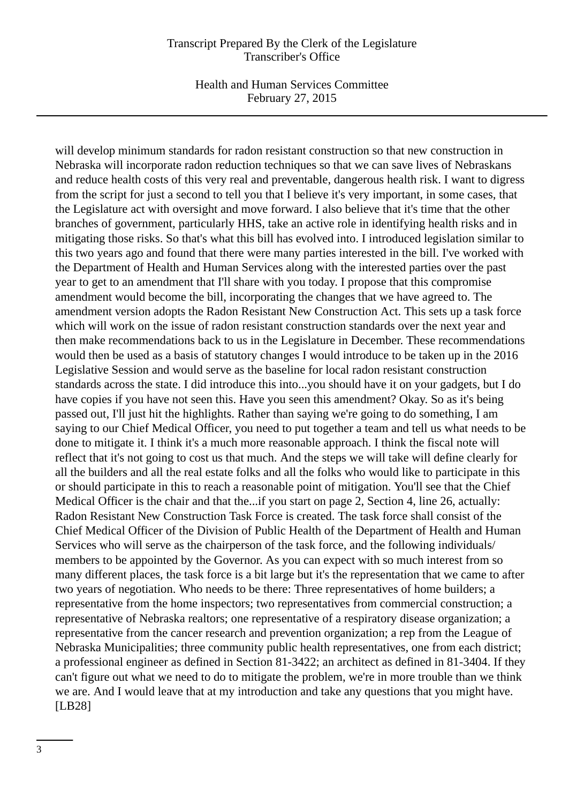Health and Human Services Committee February 27, 2015

will develop minimum standards for radon resistant construction so that new construction in Nebraska will incorporate radon reduction techniques so that we can save lives of Nebraskans and reduce health costs of this very real and preventable, dangerous health risk. I want to digress from the script for just a second to tell you that I believe it's very important, in some cases, that the Legislature act with oversight and move forward. I also believe that it's time that the other branches of government, particularly HHS, take an active role in identifying health risks and in mitigating those risks. So that's what this bill has evolved into. I introduced legislation similar to this two years ago and found that there were many parties interested in the bill. I've worked with the Department of Health and Human Services along with the interested parties over the past year to get to an amendment that I'll share with you today. I propose that this compromise amendment would become the bill, incorporating the changes that we have agreed to. The amendment version adopts the Radon Resistant New Construction Act. This sets up a task force which will work on the issue of radon resistant construction standards over the next year and then make recommendations back to us in the Legislature in December. These recommendations would then be used as a basis of statutory changes I would introduce to be taken up in the 2016 Legislative Session and would serve as the baseline for local radon resistant construction standards across the state. I did introduce this into...you should have it on your gadgets, but I do have copies if you have not seen this. Have you seen this amendment? Okay. So as it's being passed out, I'll just hit the highlights. Rather than saying we're going to do something, I am saying to our Chief Medical Officer, you need to put together a team and tell us what needs to be done to mitigate it. I think it's a much more reasonable approach. I think the fiscal note will reflect that it's not going to cost us that much. And the steps we will take will define clearly for all the builders and all the real estate folks and all the folks who would like to participate in this or should participate in this to reach a reasonable point of mitigation. You'll see that the Chief Medical Officer is the chair and that the...if you start on page 2, Section 4, line 26, actually: Radon Resistant New Construction Task Force is created. The task force shall consist of the Chief Medical Officer of the Division of Public Health of the Department of Health and Human Services who will serve as the chairperson of the task force, and the following individuals/ members to be appointed by the Governor. As you can expect with so much interest from so many different places, the task force is a bit large but it's the representation that we came to after two years of negotiation. Who needs to be there: Three representatives of home builders; a representative from the home inspectors; two representatives from commercial construction; a representative of Nebraska realtors; one representative of a respiratory disease organization; a representative from the cancer research and prevention organization; a rep from the League of Nebraska Municipalities; three community public health representatives, one from each district; a professional engineer as defined in Section 81-3422; an architect as defined in 81-3404. If they can't figure out what we need to do to mitigate the problem, we're in more trouble than we think we are. And I would leave that at my introduction and take any questions that you might have. [LB28]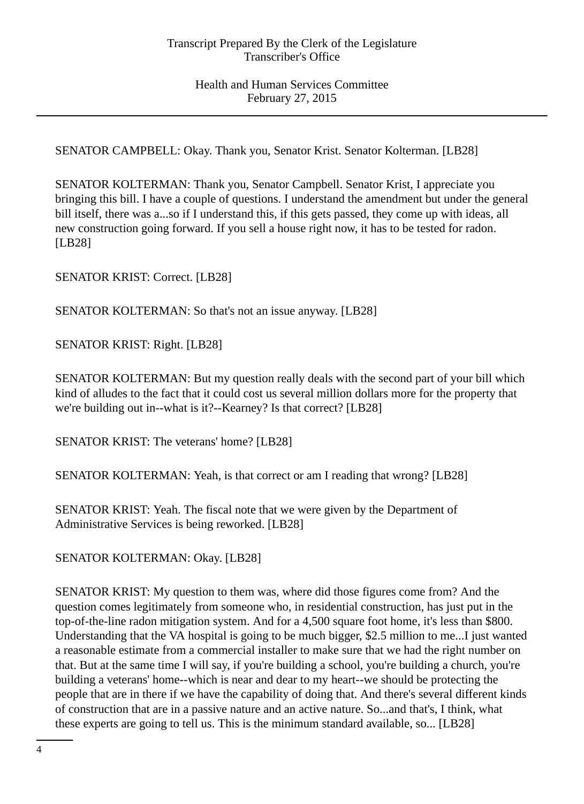SENATOR CAMPBELL: Okay. Thank you, Senator Krist. Senator Kolterman. [LB28]

SENATOR KOLTERMAN: Thank you, Senator Campbell. Senator Krist, I appreciate you bringing this bill. I have a couple of questions. I understand the amendment but under the general bill itself, there was a...so if I understand this, if this gets passed, they come up with ideas, all new construction going forward. If you sell a house right now, it has to be tested for radon. [LB28]

SENATOR KRIST: Correct. [LB28]

SENATOR KOLTERMAN: So that's not an issue anyway. [LB28]

SENATOR KRIST: Right. [LB28]

SENATOR KOLTERMAN: But my question really deals with the second part of your bill which kind of alludes to the fact that it could cost us several million dollars more for the property that we're building out in--what is it?--Kearney? Is that correct? [LB28]

SENATOR KRIST: The veterans' home? [LB28]

SENATOR KOLTERMAN: Yeah, is that correct or am I reading that wrong? [LB28]

SENATOR KRIST: Yeah. The fiscal note that we were given by the Department of Administrative Services is being reworked. [LB28]

SENATOR KOLTERMAN: Okay. [LB28]

SENATOR KRIST: My question to them was, where did those figures come from? And the question comes legitimately from someone who, in residential construction, has just put in the top-of-the-line radon mitigation system. And for a 4,500 square foot home, it's less than \$800. Understanding that the VA hospital is going to be much bigger, \$2.5 million to me...I just wanted a reasonable estimate from a commercial installer to make sure that we had the right number on that. But at the same time I will say, if you're building a school, you're building a church, you're building a veterans' home--which is near and dear to my heart--we should be protecting the people that are in there if we have the capability of doing that. And there's several different kinds of construction that are in a passive nature and an active nature. So...and that's, I think, what these experts are going to tell us. This is the minimum standard available, so... [LB28]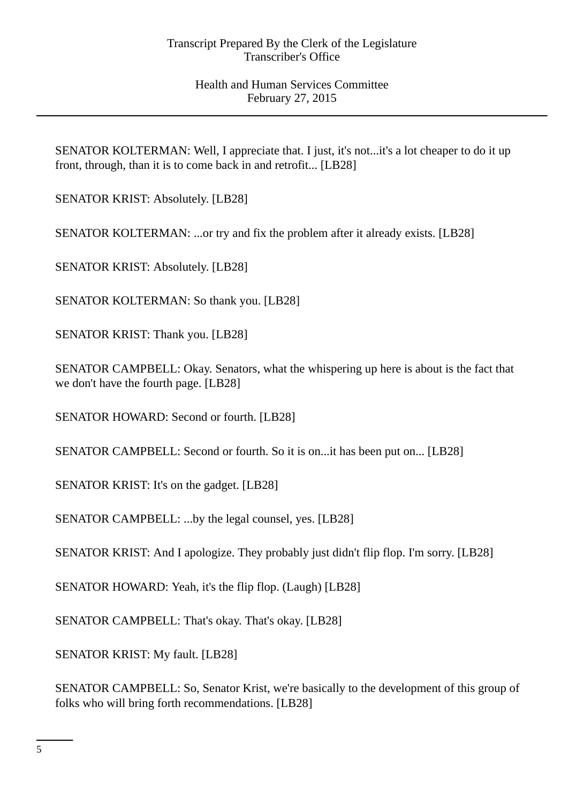SENATOR KOLTERMAN: Well, I appreciate that. I just, it's not...it's a lot cheaper to do it up front, through, than it is to come back in and retrofit... [LB28]

SENATOR KRIST: Absolutely. [LB28]

SENATOR KOLTERMAN: ...or try and fix the problem after it already exists. [LB28]

SENATOR KRIST: Absolutely. [LB28]

SENATOR KOLTERMAN: So thank you. [LB28]

SENATOR KRIST: Thank you. [LB28]

SENATOR CAMPBELL: Okay. Senators, what the whispering up here is about is the fact that we don't have the fourth page. [LB28]

SENATOR HOWARD: Second or fourth. [LB28]

SENATOR CAMPBELL: Second or fourth. So it is on...it has been put on... [LB28]

SENATOR KRIST: It's on the gadget. [LB28]

SENATOR CAMPBELL: ...by the legal counsel, yes. [LB28]

SENATOR KRIST: And I apologize. They probably just didn't flip flop. I'm sorry. [LB28]

SENATOR HOWARD: Yeah, it's the flip flop. (Laugh) [LB28]

SENATOR CAMPBELL: That's okay. That's okay. [LB28]

SENATOR KRIST: My fault. [LB28]

SENATOR CAMPBELL: So, Senator Krist, we're basically to the development of this group of folks who will bring forth recommendations. [LB28]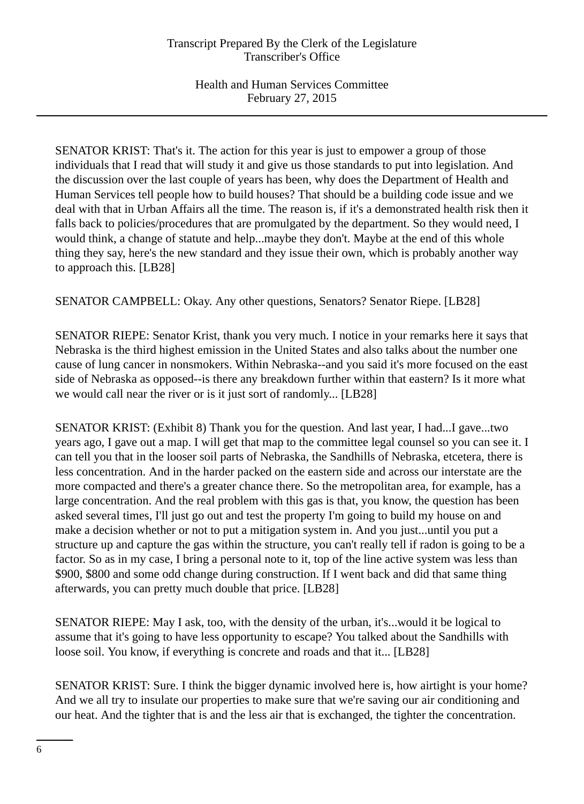SENATOR KRIST: That's it. The action for this year is just to empower a group of those individuals that I read that will study it and give us those standards to put into legislation. And the discussion over the last couple of years has been, why does the Department of Health and Human Services tell people how to build houses? That should be a building code issue and we deal with that in Urban Affairs all the time. The reason is, if it's a demonstrated health risk then it falls back to policies/procedures that are promulgated by the department. So they would need, I would think, a change of statute and help...maybe they don't. Maybe at the end of this whole thing they say, here's the new standard and they issue their own, which is probably another way to approach this. [LB28]

SENATOR CAMPBELL: Okay. Any other questions, Senators? Senator Riepe. [LB28]

SENATOR RIEPE: Senator Krist, thank you very much. I notice in your remarks here it says that Nebraska is the third highest emission in the United States and also talks about the number one cause of lung cancer in nonsmokers. Within Nebraska--and you said it's more focused on the east side of Nebraska as opposed--is there any breakdown further within that eastern? Is it more what we would call near the river or is it just sort of randomly... [LB28]

SENATOR KRIST: (Exhibit 8) Thank you for the question. And last year, I had...I gave...two years ago, I gave out a map. I will get that map to the committee legal counsel so you can see it. I can tell you that in the looser soil parts of Nebraska, the Sandhills of Nebraska, etcetera, there is less concentration. And in the harder packed on the eastern side and across our interstate are the more compacted and there's a greater chance there. So the metropolitan area, for example, has a large concentration. And the real problem with this gas is that, you know, the question has been asked several times, I'll just go out and test the property I'm going to build my house on and make a decision whether or not to put a mitigation system in. And you just...until you put a structure up and capture the gas within the structure, you can't really tell if radon is going to be a factor. So as in my case, I bring a personal note to it, top of the line active system was less than \$900, \$800 and some odd change during construction. If I went back and did that same thing afterwards, you can pretty much double that price. [LB28]

SENATOR RIEPE: May I ask, too, with the density of the urban, it's...would it be logical to assume that it's going to have less opportunity to escape? You talked about the Sandhills with loose soil. You know, if everything is concrete and roads and that it... [LB28]

SENATOR KRIST: Sure. I think the bigger dynamic involved here is, how airtight is your home? And we all try to insulate our properties to make sure that we're saving our air conditioning and our heat. And the tighter that is and the less air that is exchanged, the tighter the concentration.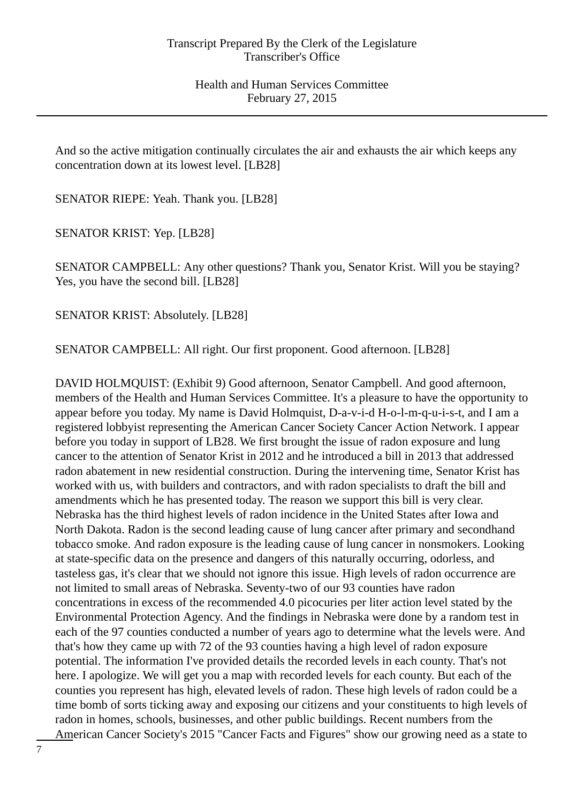And so the active mitigation continually circulates the air and exhausts the air which keeps any concentration down at its lowest level. [LB28]

SENATOR RIEPE: Yeah. Thank you. [LB28]

SENATOR KRIST: Yep. [LB28]

SENATOR CAMPBELL: Any other questions? Thank you, Senator Krist. Will you be staying? Yes, you have the second bill. [LB28]

SENATOR KRIST: Absolutely. [LB28]

SENATOR CAMPBELL: All right. Our first proponent. Good afternoon. [LB28]

DAVID HOLMQUIST: (Exhibit 9) Good afternoon, Senator Campbell. And good afternoon, members of the Health and Human Services Committee. It's a pleasure to have the opportunity to appear before you today. My name is David Holmquist, D-a-v-i-d H-o-l-m-q-u-i-s-t, and I am a registered lobbyist representing the American Cancer Society Cancer Action Network. I appear before you today in support of LB28. We first brought the issue of radon exposure and lung cancer to the attention of Senator Krist in 2012 and he introduced a bill in 2013 that addressed radon abatement in new residential construction. During the intervening time, Senator Krist has worked with us, with builders and contractors, and with radon specialists to draft the bill and amendments which he has presented today. The reason we support this bill is very clear. Nebraska has the third highest levels of radon incidence in the United States after Iowa and North Dakota. Radon is the second leading cause of lung cancer after primary and secondhand tobacco smoke. And radon exposure is the leading cause of lung cancer in nonsmokers. Looking at state-specific data on the presence and dangers of this naturally occurring, odorless, and tasteless gas, it's clear that we should not ignore this issue. High levels of radon occurrence are not limited to small areas of Nebraska. Seventy-two of our 93 counties have radon concentrations in excess of the recommended 4.0 picocuries per liter action level stated by the Environmental Protection Agency. And the findings in Nebraska were done by a random test in each of the 97 counties conducted a number of years ago to determine what the levels were. And that's how they came up with 72 of the 93 counties having a high level of radon exposure potential. The information I've provided details the recorded levels in each county. That's not here. I apologize. We will get you a map with recorded levels for each county. But each of the counties you represent has high, elevated levels of radon. These high levels of radon could be a time bomb of sorts ticking away and exposing our citizens and your constituents to high levels of radon in homes, schools, businesses, and other public buildings. Recent numbers from the American Cancer Society's 2015 "Cancer Facts and Figures" show our growing need as a state to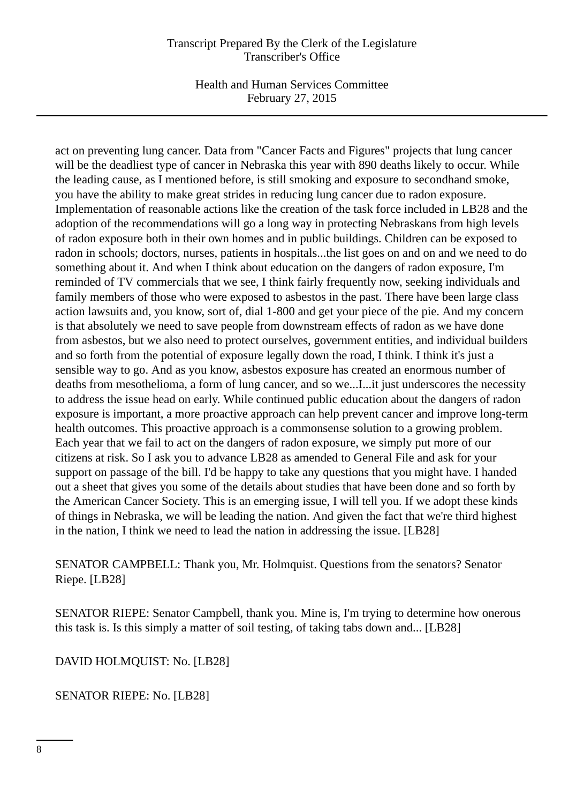Health and Human Services Committee February 27, 2015

act on preventing lung cancer. Data from "Cancer Facts and Figures" projects that lung cancer will be the deadliest type of cancer in Nebraska this year with 890 deaths likely to occur. While the leading cause, as I mentioned before, is still smoking and exposure to secondhand smoke, you have the ability to make great strides in reducing lung cancer due to radon exposure. Implementation of reasonable actions like the creation of the task force included in LB28 and the adoption of the recommendations will go a long way in protecting Nebraskans from high levels of radon exposure both in their own homes and in public buildings. Children can be exposed to radon in schools; doctors, nurses, patients in hospitals...the list goes on and on and we need to do something about it. And when I think about education on the dangers of radon exposure, I'm reminded of TV commercials that we see, I think fairly frequently now, seeking individuals and family members of those who were exposed to asbestos in the past. There have been large class action lawsuits and, you know, sort of, dial 1-800 and get your piece of the pie. And my concern is that absolutely we need to save people from downstream effects of radon as we have done from asbestos, but we also need to protect ourselves, government entities, and individual builders and so forth from the potential of exposure legally down the road, I think. I think it's just a sensible way to go. And as you know, asbestos exposure has created an enormous number of deaths from mesothelioma, a form of lung cancer, and so we...I...it just underscores the necessity to address the issue head on early. While continued public education about the dangers of radon exposure is important, a more proactive approach can help prevent cancer and improve long-term health outcomes. This proactive approach is a commonsense solution to a growing problem. Each year that we fail to act on the dangers of radon exposure, we simply put more of our citizens at risk. So I ask you to advance LB28 as amended to General File and ask for your support on passage of the bill. I'd be happy to take any questions that you might have. I handed out a sheet that gives you some of the details about studies that have been done and so forth by the American Cancer Society. This is an emerging issue, I will tell you. If we adopt these kinds of things in Nebraska, we will be leading the nation. And given the fact that we're third highest in the nation, I think we need to lead the nation in addressing the issue. [LB28]

SENATOR CAMPBELL: Thank you, Mr. Holmquist. Questions from the senators? Senator Riepe. [LB28]

SENATOR RIEPE: Senator Campbell, thank you. Mine is, I'm trying to determine how onerous this task is. Is this simply a matter of soil testing, of taking tabs down and... [LB28]

DAVID HOLMQUIST: No. [LB28]

SENATOR RIEPE: No. [LB28]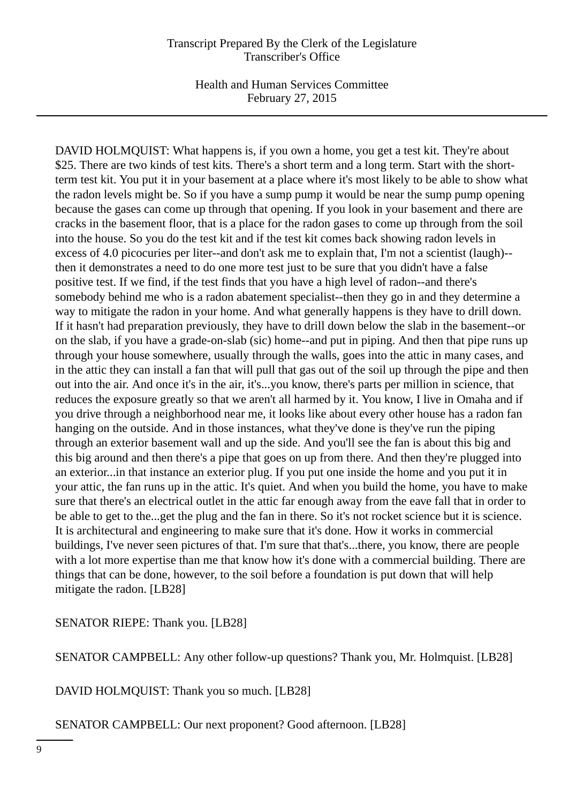Health and Human Services Committee February 27, 2015

DAVID HOLMQUIST: What happens is, if you own a home, you get a test kit. They're about \$25. There are two kinds of test kits. There's a short term and a long term. Start with the shortterm test kit. You put it in your basement at a place where it's most likely to be able to show what the radon levels might be. So if you have a sump pump it would be near the sump pump opening because the gases can come up through that opening. If you look in your basement and there are cracks in the basement floor, that is a place for the radon gases to come up through from the soil into the house. So you do the test kit and if the test kit comes back showing radon levels in excess of 4.0 picocuries per liter--and don't ask me to explain that, I'm not a scientist (laugh)- then it demonstrates a need to do one more test just to be sure that you didn't have a false positive test. If we find, if the test finds that you have a high level of radon--and there's somebody behind me who is a radon abatement specialist--then they go in and they determine a way to mitigate the radon in your home. And what generally happens is they have to drill down. If it hasn't had preparation previously, they have to drill down below the slab in the basement--or on the slab, if you have a grade-on-slab (sic) home--and put in piping. And then that pipe runs up through your house somewhere, usually through the walls, goes into the attic in many cases, and in the attic they can install a fan that will pull that gas out of the soil up through the pipe and then out into the air. And once it's in the air, it's...you know, there's parts per million in science, that reduces the exposure greatly so that we aren't all harmed by it. You know, I live in Omaha and if you drive through a neighborhood near me, it looks like about every other house has a radon fan hanging on the outside. And in those instances, what they've done is they've run the piping through an exterior basement wall and up the side. And you'll see the fan is about this big and this big around and then there's a pipe that goes on up from there. And then they're plugged into an exterior...in that instance an exterior plug. If you put one inside the home and you put it in your attic, the fan runs up in the attic. It's quiet. And when you build the home, you have to make sure that there's an electrical outlet in the attic far enough away from the eave fall that in order to be able to get to the...get the plug and the fan in there. So it's not rocket science but it is science. It is architectural and engineering to make sure that it's done. How it works in commercial buildings, I've never seen pictures of that. I'm sure that that's...there, you know, there are people with a lot more expertise than me that know how it's done with a commercial building. There are things that can be done, however, to the soil before a foundation is put down that will help mitigate the radon. [LB28]

SENATOR RIEPE: Thank you. [LB28]

SENATOR CAMPBELL: Any other follow-up questions? Thank you, Mr. Holmquist. [LB28]

DAVID HOLMQUIST: Thank you so much. [LB28]

SENATOR CAMPBELL: Our next proponent? Good afternoon. [LB28]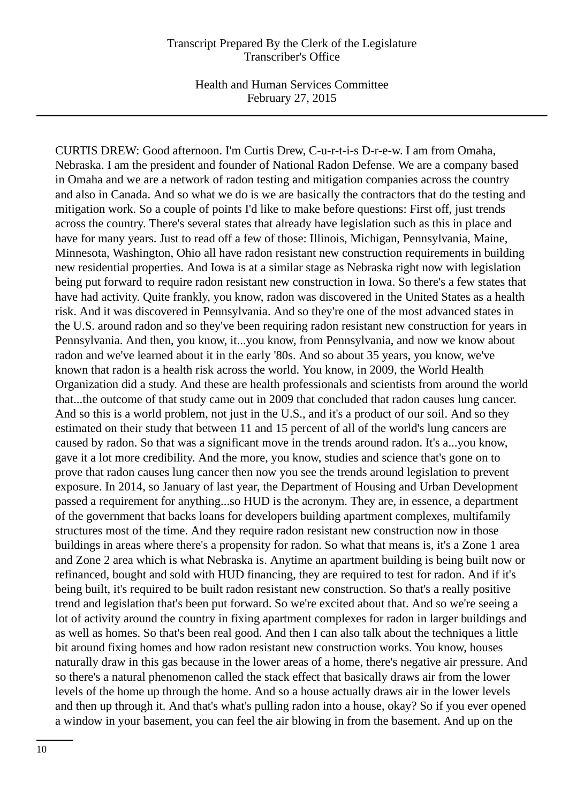Health and Human Services Committee February 27, 2015

CURTIS DREW: Good afternoon. I'm Curtis Drew, C-u-r-t-i-s D-r-e-w. I am from Omaha, Nebraska. I am the president and founder of National Radon Defense. We are a company based in Omaha and we are a network of radon testing and mitigation companies across the country and also in Canada. And so what we do is we are basically the contractors that do the testing and mitigation work. So a couple of points I'd like to make before questions: First off, just trends across the country. There's several states that already have legislation such as this in place and have for many years. Just to read off a few of those: Illinois, Michigan, Pennsylvania, Maine, Minnesota, Washington, Ohio all have radon resistant new construction requirements in building new residential properties. And Iowa is at a similar stage as Nebraska right now with legislation being put forward to require radon resistant new construction in Iowa. So there's a few states that have had activity. Quite frankly, you know, radon was discovered in the United States as a health risk. And it was discovered in Pennsylvania. And so they're one of the most advanced states in the U.S. around radon and so they've been requiring radon resistant new construction for years in Pennsylvania. And then, you know, it...you know, from Pennsylvania, and now we know about radon and we've learned about it in the early '80s. And so about 35 years, you know, we've known that radon is a health risk across the world. You know, in 2009, the World Health Organization did a study. And these are health professionals and scientists from around the world that...the outcome of that study came out in 2009 that concluded that radon causes lung cancer. And so this is a world problem, not just in the U.S., and it's a product of our soil. And so they estimated on their study that between 11 and 15 percent of all of the world's lung cancers are caused by radon. So that was a significant move in the trends around radon. It's a...you know, gave it a lot more credibility. And the more, you know, studies and science that's gone on to prove that radon causes lung cancer then now you see the trends around legislation to prevent exposure. In 2014, so January of last year, the Department of Housing and Urban Development passed a requirement for anything...so HUD is the acronym. They are, in essence, a department of the government that backs loans for developers building apartment complexes, multifamily structures most of the time. And they require radon resistant new construction now in those buildings in areas where there's a propensity for radon. So what that means is, it's a Zone 1 area and Zone 2 area which is what Nebraska is. Anytime an apartment building is being built now or refinanced, bought and sold with HUD financing, they are required to test for radon. And if it's being built, it's required to be built radon resistant new construction. So that's a really positive trend and legislation that's been put forward. So we're excited about that. And so we're seeing a lot of activity around the country in fixing apartment complexes for radon in larger buildings and as well as homes. So that's been real good. And then I can also talk about the techniques a little bit around fixing homes and how radon resistant new construction works. You know, houses naturally draw in this gas because in the lower areas of a home, there's negative air pressure. And so there's a natural phenomenon called the stack effect that basically draws air from the lower levels of the home up through the home. And so a house actually draws air in the lower levels and then up through it. And that's what's pulling radon into a house, okay? So if you ever opened a window in your basement, you can feel the air blowing in from the basement. And up on the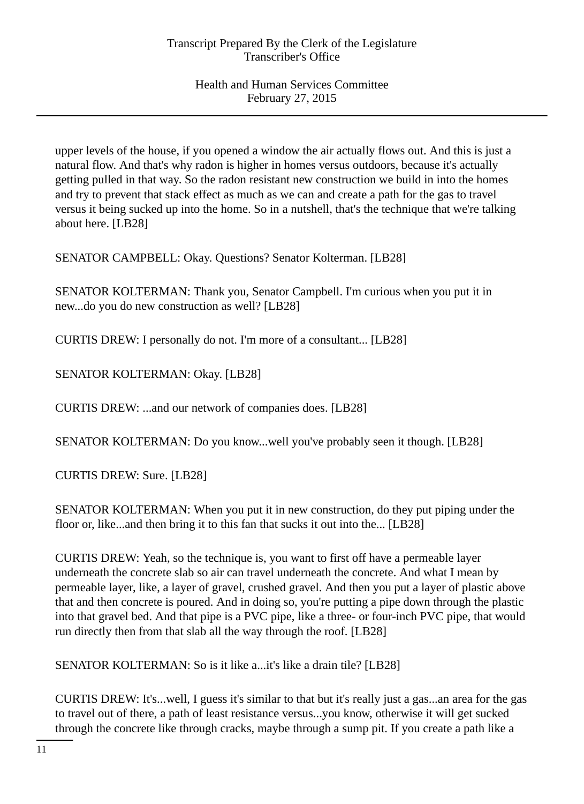upper levels of the house, if you opened a window the air actually flows out. And this is just a natural flow. And that's why radon is higher in homes versus outdoors, because it's actually getting pulled in that way. So the radon resistant new construction we build in into the homes and try to prevent that stack effect as much as we can and create a path for the gas to travel versus it being sucked up into the home. So in a nutshell, that's the technique that we're talking about here. [LB28]

SENATOR CAMPBELL: Okay. Questions? Senator Kolterman. [LB28]

SENATOR KOLTERMAN: Thank you, Senator Campbell. I'm curious when you put it in new...do you do new construction as well? [LB28]

CURTIS DREW: I personally do not. I'm more of a consultant... [LB28]

SENATOR KOLTERMAN: Okay. [LB28]

CURTIS DREW: ...and our network of companies does. [LB28]

SENATOR KOLTERMAN: Do you know...well you've probably seen it though. [LB28]

CURTIS DREW: Sure. [LB28]

SENATOR KOLTERMAN: When you put it in new construction, do they put piping under the floor or, like...and then bring it to this fan that sucks it out into the... [LB28]

CURTIS DREW: Yeah, so the technique is, you want to first off have a permeable layer underneath the concrete slab so air can travel underneath the concrete. And what I mean by permeable layer, like, a layer of gravel, crushed gravel. And then you put a layer of plastic above that and then concrete is poured. And in doing so, you're putting a pipe down through the plastic into that gravel bed. And that pipe is a PVC pipe, like a three- or four-inch PVC pipe, that would run directly then from that slab all the way through the roof. [LB28]

SENATOR KOLTERMAN: So is it like a...it's like a drain tile? [LB28]

CURTIS DREW: It's...well, I guess it's similar to that but it's really just a gas...an area for the gas to travel out of there, a path of least resistance versus...you know, otherwise it will get sucked through the concrete like through cracks, maybe through a sump pit. If you create a path like a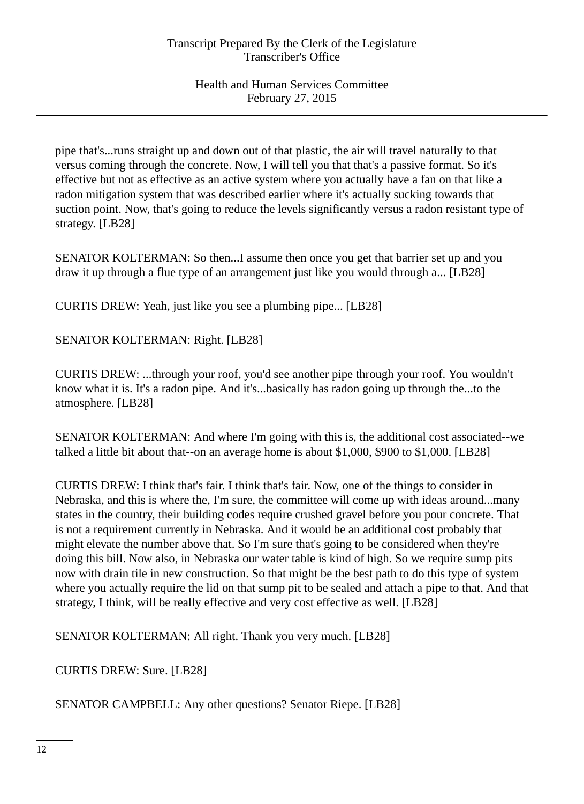pipe that's...runs straight up and down out of that plastic, the air will travel naturally to that versus coming through the concrete. Now, I will tell you that that's a passive format. So it's effective but not as effective as an active system where you actually have a fan on that like a radon mitigation system that was described earlier where it's actually sucking towards that suction point. Now, that's going to reduce the levels significantly versus a radon resistant type of strategy. [LB28]

SENATOR KOLTERMAN: So then...I assume then once you get that barrier set up and you draw it up through a flue type of an arrangement just like you would through a... [LB28]

CURTIS DREW: Yeah, just like you see a plumbing pipe... [LB28]

SENATOR KOLTERMAN: Right. [LB28]

CURTIS DREW: ...through your roof, you'd see another pipe through your roof. You wouldn't know what it is. It's a radon pipe. And it's...basically has radon going up through the...to the atmosphere. [LB28]

SENATOR KOLTERMAN: And where I'm going with this is, the additional cost associated--we talked a little bit about that--on an average home is about \$1,000, \$900 to \$1,000. [LB28]

CURTIS DREW: I think that's fair. I think that's fair. Now, one of the things to consider in Nebraska, and this is where the, I'm sure, the committee will come up with ideas around...many states in the country, their building codes require crushed gravel before you pour concrete. That is not a requirement currently in Nebraska. And it would be an additional cost probably that might elevate the number above that. So I'm sure that's going to be considered when they're doing this bill. Now also, in Nebraska our water table is kind of high. So we require sump pits now with drain tile in new construction. So that might be the best path to do this type of system where you actually require the lid on that sump pit to be sealed and attach a pipe to that. And that strategy, I think, will be really effective and very cost effective as well. [LB28]

SENATOR KOLTERMAN: All right. Thank you very much. [LB28]

CURTIS DREW: Sure. [LB28]

SENATOR CAMPBELL: Any other questions? Senator Riepe. [LB28]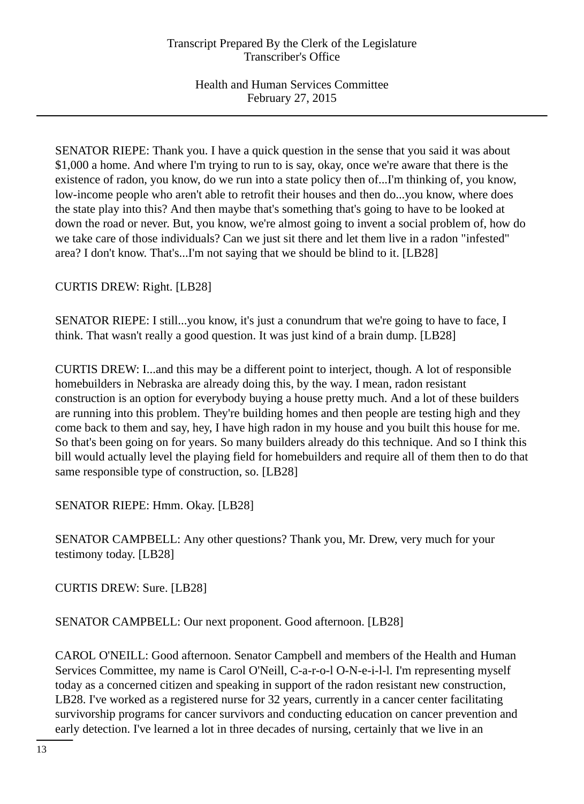SENATOR RIEPE: Thank you. I have a quick question in the sense that you said it was about \$1,000 a home. And where I'm trying to run to is say, okay, once we're aware that there is the existence of radon, you know, do we run into a state policy then of...I'm thinking of, you know, low-income people who aren't able to retrofit their houses and then do...you know, where does the state play into this? And then maybe that's something that's going to have to be looked at down the road or never. But, you know, we're almost going to invent a social problem of, how do we take care of those individuals? Can we just sit there and let them live in a radon "infested" area? I don't know. That's...I'm not saying that we should be blind to it. [LB28]

CURTIS DREW: Right. [LB28]

SENATOR RIEPE: I still...you know, it's just a conundrum that we're going to have to face, I think. That wasn't really a good question. It was just kind of a brain dump. [LB28]

CURTIS DREW: I...and this may be a different point to interject, though. A lot of responsible homebuilders in Nebraska are already doing this, by the way. I mean, radon resistant construction is an option for everybody buying a house pretty much. And a lot of these builders are running into this problem. They're building homes and then people are testing high and they come back to them and say, hey, I have high radon in my house and you built this house for me. So that's been going on for years. So many builders already do this technique. And so I think this bill would actually level the playing field for homebuilders and require all of them then to do that same responsible type of construction, so. [LB28]

SENATOR RIEPE: Hmm. Okay. [LB28]

SENATOR CAMPBELL: Any other questions? Thank you, Mr. Drew, very much for your testimony today. [LB28]

CURTIS DREW: Sure. [LB28]

SENATOR CAMPBELL: Our next proponent. Good afternoon. [LB28]

CAROL O'NEILL: Good afternoon. Senator Campbell and members of the Health and Human Services Committee, my name is Carol O'Neill, C-a-r-o-l O-N-e-i-l-l. I'm representing myself today as a concerned citizen and speaking in support of the radon resistant new construction, LB28. I've worked as a registered nurse for 32 years, currently in a cancer center facilitating survivorship programs for cancer survivors and conducting education on cancer prevention and early detection. I've learned a lot in three decades of nursing, certainly that we live in an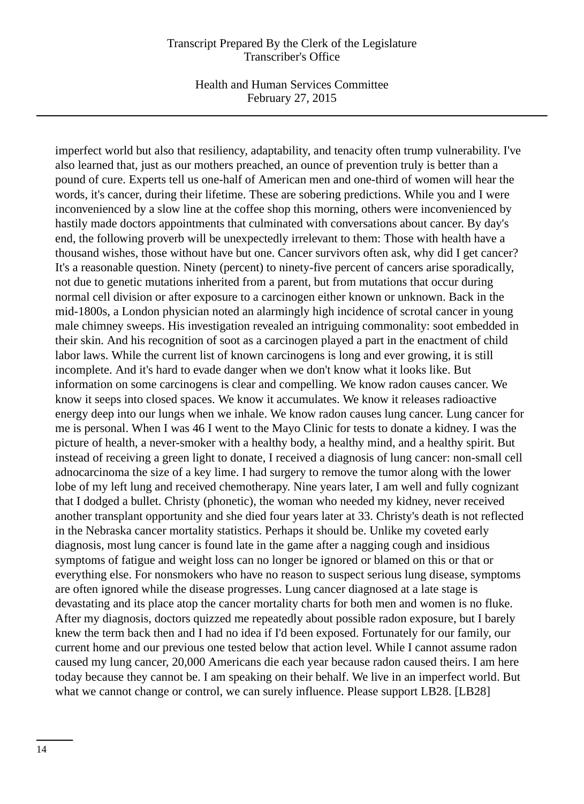Health and Human Services Committee February 27, 2015

imperfect world but also that resiliency, adaptability, and tenacity often trump vulnerability. I've also learned that, just as our mothers preached, an ounce of prevention truly is better than a pound of cure. Experts tell us one-half of American men and one-third of women will hear the words, it's cancer, during their lifetime. These are sobering predictions. While you and I were inconvenienced by a slow line at the coffee shop this morning, others were inconvenienced by hastily made doctors appointments that culminated with conversations about cancer. By day's end, the following proverb will be unexpectedly irrelevant to them: Those with health have a thousand wishes, those without have but one. Cancer survivors often ask, why did I get cancer? It's a reasonable question. Ninety (percent) to ninety-five percent of cancers arise sporadically, not due to genetic mutations inherited from a parent, but from mutations that occur during normal cell division or after exposure to a carcinogen either known or unknown. Back in the mid-1800s, a London physician noted an alarmingly high incidence of scrotal cancer in young male chimney sweeps. His investigation revealed an intriguing commonality: soot embedded in their skin. And his recognition of soot as a carcinogen played a part in the enactment of child labor laws. While the current list of known carcinogens is long and ever growing, it is still incomplete. And it's hard to evade danger when we don't know what it looks like. But information on some carcinogens is clear and compelling. We know radon causes cancer. We know it seeps into closed spaces. We know it accumulates. We know it releases radioactive energy deep into our lungs when we inhale. We know radon causes lung cancer. Lung cancer for me is personal. When I was 46 I went to the Mayo Clinic for tests to donate a kidney. I was the picture of health, a never-smoker with a healthy body, a healthy mind, and a healthy spirit. But instead of receiving a green light to donate, I received a diagnosis of lung cancer: non-small cell adnocarcinoma the size of a key lime. I had surgery to remove the tumor along with the lower lobe of my left lung and received chemotherapy. Nine years later, I am well and fully cognizant that I dodged a bullet. Christy (phonetic), the woman who needed my kidney, never received another transplant opportunity and she died four years later at 33. Christy's death is not reflected in the Nebraska cancer mortality statistics. Perhaps it should be. Unlike my coveted early diagnosis, most lung cancer is found late in the game after a nagging cough and insidious symptoms of fatigue and weight loss can no longer be ignored or blamed on this or that or everything else. For nonsmokers who have no reason to suspect serious lung disease, symptoms are often ignored while the disease progresses. Lung cancer diagnosed at a late stage is devastating and its place atop the cancer mortality charts for both men and women is no fluke. After my diagnosis, doctors quizzed me repeatedly about possible radon exposure, but I barely knew the term back then and I had no idea if I'd been exposed. Fortunately for our family, our current home and our previous one tested below that action level. While I cannot assume radon caused my lung cancer, 20,000 Americans die each year because radon caused theirs. I am here today because they cannot be. I am speaking on their behalf. We live in an imperfect world. But what we cannot change or control, we can surely influence. Please support LB28. [LB28]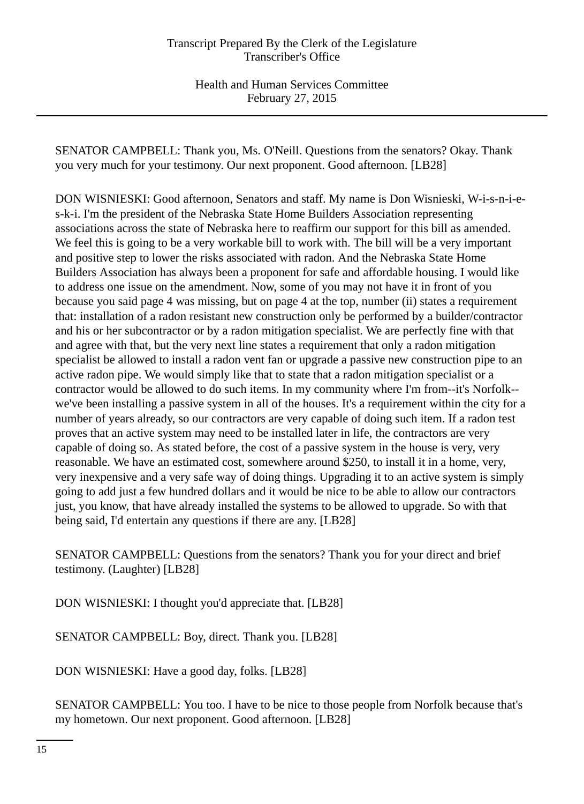SENATOR CAMPBELL: Thank you, Ms. O'Neill. Questions from the senators? Okay. Thank you very much for your testimony. Our next proponent. Good afternoon. [LB28]

DON WISNIESKI: Good afternoon, Senators and staff. My name is Don Wisnieski, W-i-s-n-i-es-k-i. I'm the president of the Nebraska State Home Builders Association representing associations across the state of Nebraska here to reaffirm our support for this bill as amended. We feel this is going to be a very workable bill to work with. The bill will be a very important and positive step to lower the risks associated with radon. And the Nebraska State Home Builders Association has always been a proponent for safe and affordable housing. I would like to address one issue on the amendment. Now, some of you may not have it in front of you because you said page 4 was missing, but on page 4 at the top, number (ii) states a requirement that: installation of a radon resistant new construction only be performed by a builder/contractor and his or her subcontractor or by a radon mitigation specialist. We are perfectly fine with that and agree with that, but the very next line states a requirement that only a radon mitigation specialist be allowed to install a radon vent fan or upgrade a passive new construction pipe to an active radon pipe. We would simply like that to state that a radon mitigation specialist or a contractor would be allowed to do such items. In my community where I'm from--it's Norfolk- we've been installing a passive system in all of the houses. It's a requirement within the city for a number of years already, so our contractors are very capable of doing such item. If a radon test proves that an active system may need to be installed later in life, the contractors are very capable of doing so. As stated before, the cost of a passive system in the house is very, very reasonable. We have an estimated cost, somewhere around \$250, to install it in a home, very, very inexpensive and a very safe way of doing things. Upgrading it to an active system is simply going to add just a few hundred dollars and it would be nice to be able to allow our contractors just, you know, that have already installed the systems to be allowed to upgrade. So with that being said, I'd entertain any questions if there are any. [LB28]

SENATOR CAMPBELL: Questions from the senators? Thank you for your direct and brief testimony. (Laughter) [LB28]

DON WISNIESKI: I thought you'd appreciate that. [LB28]

SENATOR CAMPBELL: Boy, direct. Thank you. [LB28]

DON WISNIESKI: Have a good day, folks. [LB28]

SENATOR CAMPBELL: You too. I have to be nice to those people from Norfolk because that's my hometown. Our next proponent. Good afternoon. [LB28]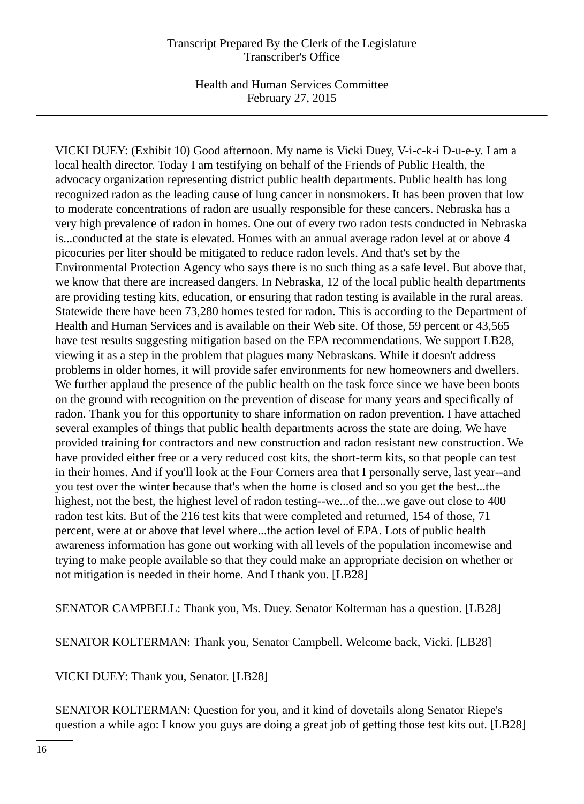Health and Human Services Committee February 27, 2015

VICKI DUEY: (Exhibit 10) Good afternoon. My name is Vicki Duey, V-i-c-k-i D-u-e-y. I am a local health director. Today I am testifying on behalf of the Friends of Public Health, the advocacy organization representing district public health departments. Public health has long recognized radon as the leading cause of lung cancer in nonsmokers. It has been proven that low to moderate concentrations of radon are usually responsible for these cancers. Nebraska has a very high prevalence of radon in homes. One out of every two radon tests conducted in Nebraska is...conducted at the state is elevated. Homes with an annual average radon level at or above 4 picocuries per liter should be mitigated to reduce radon levels. And that's set by the Environmental Protection Agency who says there is no such thing as a safe level. But above that, we know that there are increased dangers. In Nebraska, 12 of the local public health departments are providing testing kits, education, or ensuring that radon testing is available in the rural areas. Statewide there have been 73,280 homes tested for radon. This is according to the Department of Health and Human Services and is available on their Web site. Of those, 59 percent or 43,565 have test results suggesting mitigation based on the EPA recommendations. We support LB28, viewing it as a step in the problem that plagues many Nebraskans. While it doesn't address problems in older homes, it will provide safer environments for new homeowners and dwellers. We further applaud the presence of the public health on the task force since we have been boots on the ground with recognition on the prevention of disease for many years and specifically of radon. Thank you for this opportunity to share information on radon prevention. I have attached several examples of things that public health departments across the state are doing. We have provided training for contractors and new construction and radon resistant new construction. We have provided either free or a very reduced cost kits, the short-term kits, so that people can test in their homes. And if you'll look at the Four Corners area that I personally serve, last year--and you test over the winter because that's when the home is closed and so you get the best...the highest, not the best, the highest level of radon testing--we...of the...we gave out close to 400 radon test kits. But of the 216 test kits that were completed and returned, 154 of those, 71 percent, were at or above that level where...the action level of EPA. Lots of public health awareness information has gone out working with all levels of the population incomewise and trying to make people available so that they could make an appropriate decision on whether or not mitigation is needed in their home. And I thank you. [LB28]

SENATOR CAMPBELL: Thank you, Ms. Duey. Senator Kolterman has a question. [LB28]

SENATOR KOLTERMAN: Thank you, Senator Campbell. Welcome back, Vicki. [LB28]

VICKI DUEY: Thank you, Senator. [LB28]

SENATOR KOLTERMAN: Question for you, and it kind of dovetails along Senator Riepe's question a while ago: I know you guys are doing a great job of getting those test kits out. [LB28]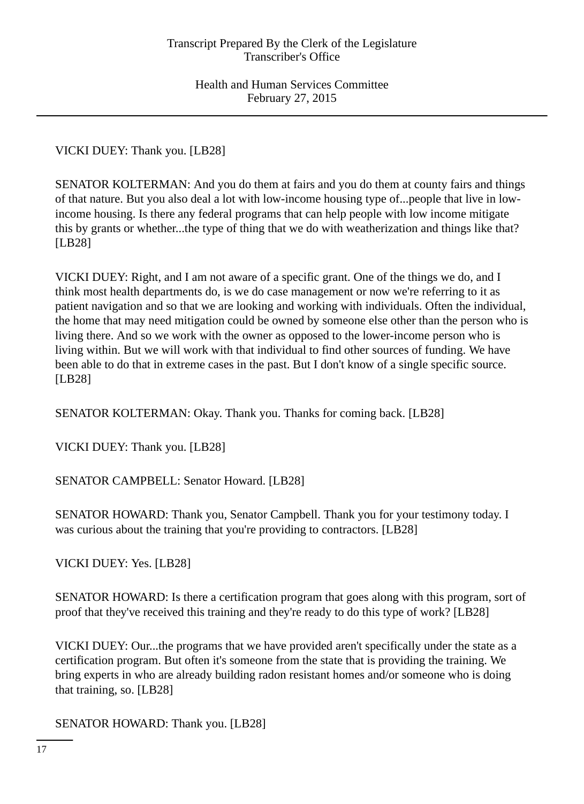VICKI DUEY: Thank you. [LB28]

SENATOR KOLTERMAN: And you do them at fairs and you do them at county fairs and things of that nature. But you also deal a lot with low-income housing type of...people that live in lowincome housing. Is there any federal programs that can help people with low income mitigate this by grants or whether...the type of thing that we do with weatherization and things like that? [LB28]

VICKI DUEY: Right, and I am not aware of a specific grant. One of the things we do, and I think most health departments do, is we do case management or now we're referring to it as patient navigation and so that we are looking and working with individuals. Often the individual, the home that may need mitigation could be owned by someone else other than the person who is living there. And so we work with the owner as opposed to the lower-income person who is living within. But we will work with that individual to find other sources of funding. We have been able to do that in extreme cases in the past. But I don't know of a single specific source. [LB28]

SENATOR KOLTERMAN: Okay. Thank you. Thanks for coming back. [LB28]

VICKI DUEY: Thank you. [LB28]

SENATOR CAMPBELL: Senator Howard. [LB28]

SENATOR HOWARD: Thank you, Senator Campbell. Thank you for your testimony today. I was curious about the training that you're providing to contractors. [LB28]

VICKI DUEY: Yes. [LB28]

SENATOR HOWARD: Is there a certification program that goes along with this program, sort of proof that they've received this training and they're ready to do this type of work? [LB28]

VICKI DUEY: Our...the programs that we have provided aren't specifically under the state as a certification program. But often it's someone from the state that is providing the training. We bring experts in who are already building radon resistant homes and/or someone who is doing that training, so. [LB28]

SENATOR HOWARD: Thank you. [LB28]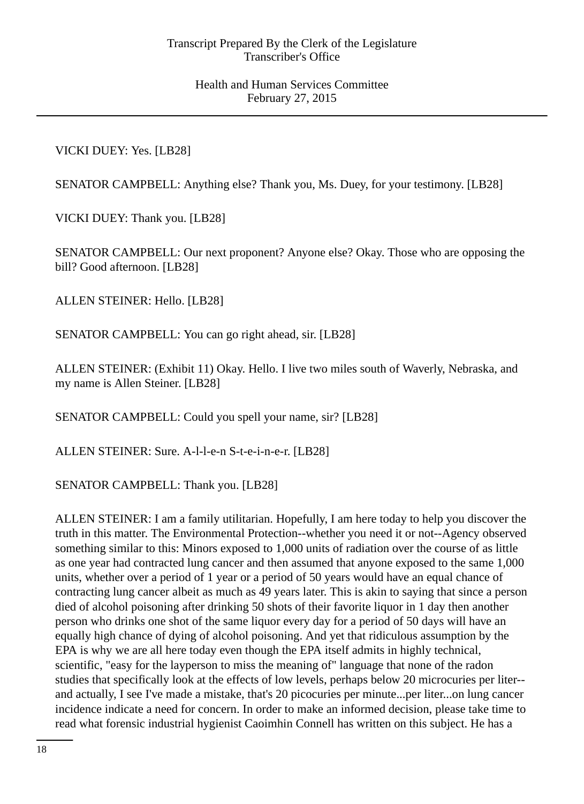# VICKI DUEY: Yes. [LB28]

SENATOR CAMPBELL: Anything else? Thank you, Ms. Duey, for your testimony. [LB28]

VICKI DUEY: Thank you. [LB28]

SENATOR CAMPBELL: Our next proponent? Anyone else? Okay. Those who are opposing the bill? Good afternoon. [LB28]

ALLEN STEINER: Hello. [LB28]

SENATOR CAMPBELL: You can go right ahead, sir. [LB28]

ALLEN STEINER: (Exhibit 11) Okay. Hello. I live two miles south of Waverly, Nebraska, and my name is Allen Steiner. [LB28]

SENATOR CAMPBELL: Could you spell your name, sir? [LB28]

ALLEN STEINER: Sure. A-l-l-e-n S-t-e-i-n-e-r. [LB28]

SENATOR CAMPBELL: Thank you. [LB28]

ALLEN STEINER: I am a family utilitarian. Hopefully, I am here today to help you discover the truth in this matter. The Environmental Protection--whether you need it or not--Agency observed something similar to this: Minors exposed to 1,000 units of radiation over the course of as little as one year had contracted lung cancer and then assumed that anyone exposed to the same 1,000 units, whether over a period of 1 year or a period of 50 years would have an equal chance of contracting lung cancer albeit as much as 49 years later. This is akin to saying that since a person died of alcohol poisoning after drinking 50 shots of their favorite liquor in 1 day then another person who drinks one shot of the same liquor every day for a period of 50 days will have an equally high chance of dying of alcohol poisoning. And yet that ridiculous assumption by the EPA is why we are all here today even though the EPA itself admits in highly technical, scientific, "easy for the layperson to miss the meaning of" language that none of the radon studies that specifically look at the effects of low levels, perhaps below 20 microcuries per liter- and actually, I see I've made a mistake, that's 20 picocuries per minute...per liter...on lung cancer incidence indicate a need for concern. In order to make an informed decision, please take time to read what forensic industrial hygienist Caoimhin Connell has written on this subject. He has a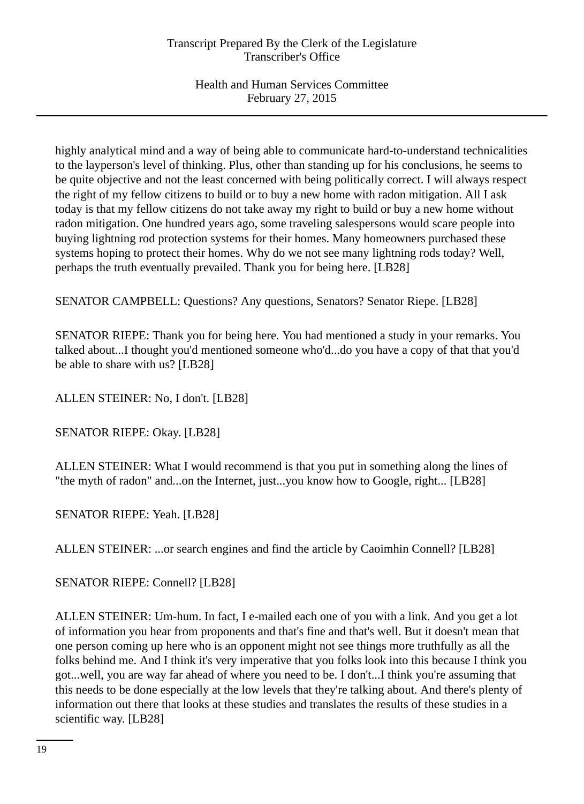highly analytical mind and a way of being able to communicate hard-to-understand technicalities to the layperson's level of thinking. Plus, other than standing up for his conclusions, he seems to be quite objective and not the least concerned with being politically correct. I will always respect the right of my fellow citizens to build or to buy a new home with radon mitigation. All I ask today is that my fellow citizens do not take away my right to build or buy a new home without radon mitigation. One hundred years ago, some traveling salespersons would scare people into buying lightning rod protection systems for their homes. Many homeowners purchased these systems hoping to protect their homes. Why do we not see many lightning rods today? Well, perhaps the truth eventually prevailed. Thank you for being here. [LB28]

SENATOR CAMPBELL: Questions? Any questions, Senators? Senator Riepe. [LB28]

SENATOR RIEPE: Thank you for being here. You had mentioned a study in your remarks. You talked about...I thought you'd mentioned someone who'd...do you have a copy of that that you'd be able to share with us? [LB28]

ALLEN STEINER: No, I don't. [LB28]

SENATOR RIEPE: Okay. [LB28]

ALLEN STEINER: What I would recommend is that you put in something along the lines of "the myth of radon" and...on the Internet, just...you know how to Google, right... [LB28]

SENATOR RIEPE: Yeah. [LB28]

ALLEN STEINER: ...or search engines and find the article by Caoimhin Connell? [LB28]

SENATOR RIEPE: Connell? [LB28]

ALLEN STEINER: Um-hum. In fact, I e-mailed each one of you with a link. And you get a lot of information you hear from proponents and that's fine and that's well. But it doesn't mean that one person coming up here who is an opponent might not see things more truthfully as all the folks behind me. And I think it's very imperative that you folks look into this because I think you got...well, you are way far ahead of where you need to be. I don't...I think you're assuming that this needs to be done especially at the low levels that they're talking about. And there's plenty of information out there that looks at these studies and translates the results of these studies in a scientific way. [LB28]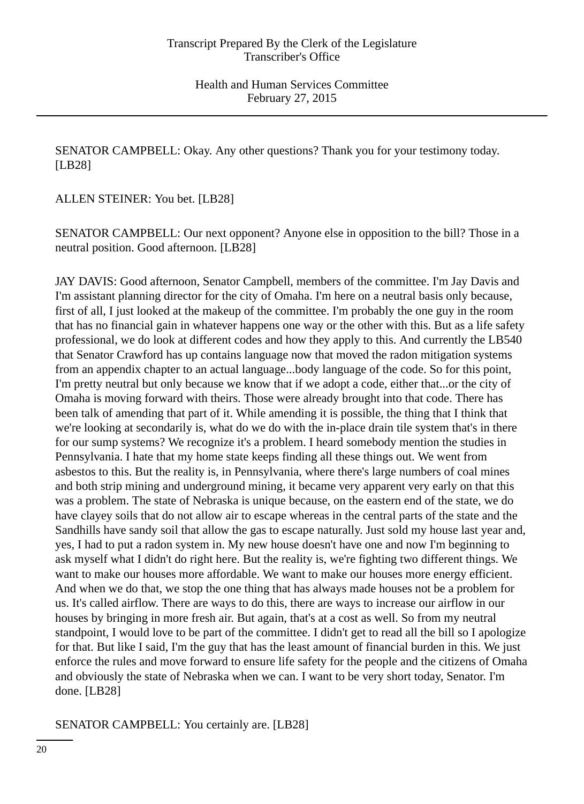SENATOR CAMPBELL: Okay. Any other questions? Thank you for your testimony today. [LB28]

ALLEN STEINER: You bet. [LB28]

SENATOR CAMPBELL: Our next opponent? Anyone else in opposition to the bill? Those in a neutral position. Good afternoon. [LB28]

JAY DAVIS: Good afternoon, Senator Campbell, members of the committee. I'm Jay Davis and I'm assistant planning director for the city of Omaha. I'm here on a neutral basis only because, first of all, I just looked at the makeup of the committee. I'm probably the one guy in the room that has no financial gain in whatever happens one way or the other with this. But as a life safety professional, we do look at different codes and how they apply to this. And currently the LB540 that Senator Crawford has up contains language now that moved the radon mitigation systems from an appendix chapter to an actual language...body language of the code. So for this point, I'm pretty neutral but only because we know that if we adopt a code, either that...or the city of Omaha is moving forward with theirs. Those were already brought into that code. There has been talk of amending that part of it. While amending it is possible, the thing that I think that we're looking at secondarily is, what do we do with the in-place drain tile system that's in there for our sump systems? We recognize it's a problem. I heard somebody mention the studies in Pennsylvania. I hate that my home state keeps finding all these things out. We went from asbestos to this. But the reality is, in Pennsylvania, where there's large numbers of coal mines and both strip mining and underground mining, it became very apparent very early on that this was a problem. The state of Nebraska is unique because, on the eastern end of the state, we do have clayey soils that do not allow air to escape whereas in the central parts of the state and the Sandhills have sandy soil that allow the gas to escape naturally. Just sold my house last year and, yes, I had to put a radon system in. My new house doesn't have one and now I'm beginning to ask myself what I didn't do right here. But the reality is, we're fighting two different things. We want to make our houses more affordable. We want to make our houses more energy efficient. And when we do that, we stop the one thing that has always made houses not be a problem for us. It's called airflow. There are ways to do this, there are ways to increase our airflow in our houses by bringing in more fresh air. But again, that's at a cost as well. So from my neutral standpoint, I would love to be part of the committee. I didn't get to read all the bill so I apologize for that. But like I said, I'm the guy that has the least amount of financial burden in this. We just enforce the rules and move forward to ensure life safety for the people and the citizens of Omaha and obviously the state of Nebraska when we can. I want to be very short today, Senator. I'm done. [LB28]

SENATOR CAMPBELL: You certainly are. [LB28]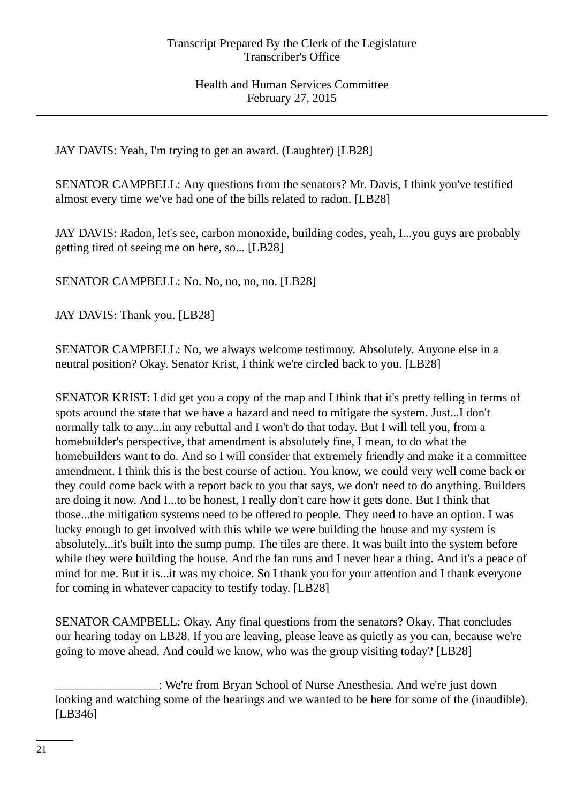JAY DAVIS: Yeah, I'm trying to get an award. (Laughter) [LB28]

SENATOR CAMPBELL: Any questions from the senators? Mr. Davis, I think you've testified almost every time we've had one of the bills related to radon. [LB28]

JAY DAVIS: Radon, let's see, carbon monoxide, building codes, yeah, I...you guys are probably getting tired of seeing me on here, so... [LB28]

SENATOR CAMPBELL: No. No, no, no, no. [LB28]

JAY DAVIS: Thank you. [LB28]

SENATOR CAMPBELL: No, we always welcome testimony. Absolutely. Anyone else in a neutral position? Okay. Senator Krist, I think we're circled back to you. [LB28]

SENATOR KRIST: I did get you a copy of the map and I think that it's pretty telling in terms of spots around the state that we have a hazard and need to mitigate the system. Just...I don't normally talk to any...in any rebuttal and I won't do that today. But I will tell you, from a homebuilder's perspective, that amendment is absolutely fine, I mean, to do what the homebuilders want to do. And so I will consider that extremely friendly and make it a committee amendment. I think this is the best course of action. You know, we could very well come back or they could come back with a report back to you that says, we don't need to do anything. Builders are doing it now. And I...to be honest, I really don't care how it gets done. But I think that those...the mitigation systems need to be offered to people. They need to have an option. I was lucky enough to get involved with this while we were building the house and my system is absolutely...it's built into the sump pump. The tiles are there. It was built into the system before while they were building the house. And the fan runs and I never hear a thing. And it's a peace of mind for me. But it is...it was my choice. So I thank you for your attention and I thank everyone for coming in whatever capacity to testify today. [LB28]

SENATOR CAMPBELL: Okay. Any final questions from the senators? Okay. That concludes our hearing today on LB28. If you are leaving, please leave as quietly as you can, because we're going to move ahead. And could we know, who was the group visiting today? [LB28]

\_\_\_\_\_\_\_\_\_\_\_\_\_\_\_\_\_: We're from Bryan School of Nurse Anesthesia. And we're just down looking and watching some of the hearings and we wanted to be here for some of the (inaudible). [LB346]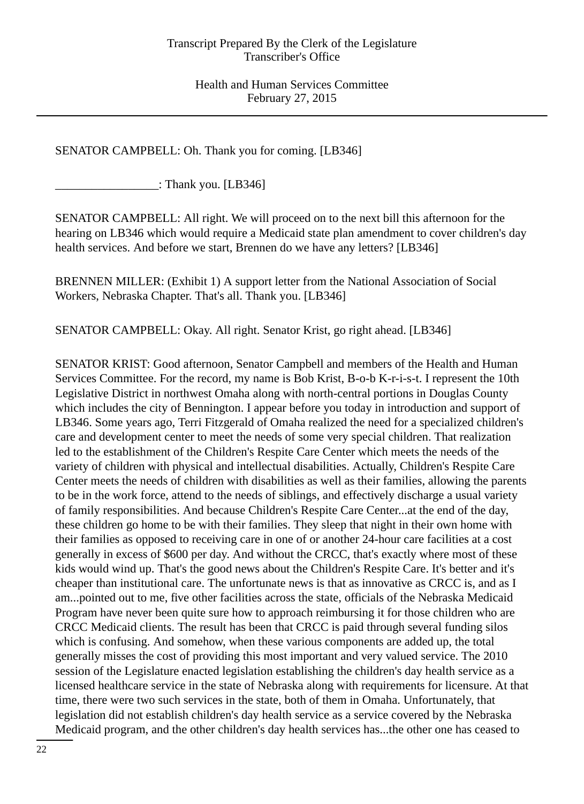SENATOR CAMPBELL: Oh. Thank you for coming. [LB346]

\_\_\_\_\_\_\_\_\_\_\_\_\_\_\_\_\_: Thank you. [LB346]

SENATOR CAMPBELL: All right. We will proceed on to the next bill this afternoon for the hearing on LB346 which would require a Medicaid state plan amendment to cover children's day health services. And before we start, Brennen do we have any letters? [LB346]

BRENNEN MILLER: (Exhibit 1) A support letter from the National Association of Social Workers, Nebraska Chapter. That's all. Thank you. [LB346]

SENATOR CAMPBELL: Okay. All right. Senator Krist, go right ahead. [LB346]

SENATOR KRIST: Good afternoon, Senator Campbell and members of the Health and Human Services Committee. For the record, my name is Bob Krist, B-o-b K-r-i-s-t. I represent the 10th Legislative District in northwest Omaha along with north-central portions in Douglas County which includes the city of Bennington. I appear before you today in introduction and support of LB346. Some years ago, Terri Fitzgerald of Omaha realized the need for a specialized children's care and development center to meet the needs of some very special children. That realization led to the establishment of the Children's Respite Care Center which meets the needs of the variety of children with physical and intellectual disabilities. Actually, Children's Respite Care Center meets the needs of children with disabilities as well as their families, allowing the parents to be in the work force, attend to the needs of siblings, and effectively discharge a usual variety of family responsibilities. And because Children's Respite Care Center...at the end of the day, these children go home to be with their families. They sleep that night in their own home with their families as opposed to receiving care in one of or another 24-hour care facilities at a cost generally in excess of \$600 per day. And without the CRCC, that's exactly where most of these kids would wind up. That's the good news about the Children's Respite Care. It's better and it's cheaper than institutional care. The unfortunate news is that as innovative as CRCC is, and as I am...pointed out to me, five other facilities across the state, officials of the Nebraska Medicaid Program have never been quite sure how to approach reimbursing it for those children who are CRCC Medicaid clients. The result has been that CRCC is paid through several funding silos which is confusing. And somehow, when these various components are added up, the total generally misses the cost of providing this most important and very valued service. The 2010 session of the Legislature enacted legislation establishing the children's day health service as a licensed healthcare service in the state of Nebraska along with requirements for licensure. At that time, there were two such services in the state, both of them in Omaha. Unfortunately, that legislation did not establish children's day health service as a service covered by the Nebraska Medicaid program, and the other children's day health services has...the other one has ceased to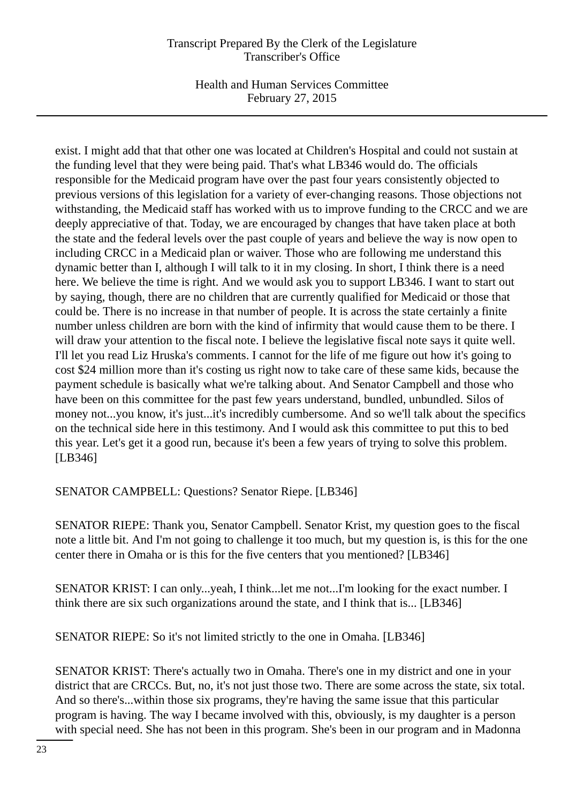Health and Human Services Committee February 27, 2015

exist. I might add that that other one was located at Children's Hospital and could not sustain at the funding level that they were being paid. That's what LB346 would do. The officials responsible for the Medicaid program have over the past four years consistently objected to previous versions of this legislation for a variety of ever-changing reasons. Those objections not withstanding, the Medicaid staff has worked with us to improve funding to the CRCC and we are deeply appreciative of that. Today, we are encouraged by changes that have taken place at both the state and the federal levels over the past couple of years and believe the way is now open to including CRCC in a Medicaid plan or waiver. Those who are following me understand this dynamic better than I, although I will talk to it in my closing. In short, I think there is a need here. We believe the time is right. And we would ask you to support LB346. I want to start out by saying, though, there are no children that are currently qualified for Medicaid or those that could be. There is no increase in that number of people. It is across the state certainly a finite number unless children are born with the kind of infirmity that would cause them to be there. I will draw your attention to the fiscal note. I believe the legislative fiscal note says it quite well. I'll let you read Liz Hruska's comments. I cannot for the life of me figure out how it's going to cost \$24 million more than it's costing us right now to take care of these same kids, because the payment schedule is basically what we're talking about. And Senator Campbell and those who have been on this committee for the past few years understand, bundled, unbundled. Silos of money not...you know, it's just...it's incredibly cumbersome. And so we'll talk about the specifics on the technical side here in this testimony. And I would ask this committee to put this to bed this year. Let's get it a good run, because it's been a few years of trying to solve this problem. [LB346]

SENATOR CAMPBELL: Questions? Senator Riepe. [LB346]

SENATOR RIEPE: Thank you, Senator Campbell. Senator Krist, my question goes to the fiscal note a little bit. And I'm not going to challenge it too much, but my question is, is this for the one center there in Omaha or is this for the five centers that you mentioned? [LB346]

SENATOR KRIST: I can only...yeah, I think...let me not...I'm looking for the exact number. I think there are six such organizations around the state, and I think that is... [LB346]

SENATOR RIEPE: So it's not limited strictly to the one in Omaha. [LB346]

SENATOR KRIST: There's actually two in Omaha. There's one in my district and one in your district that are CRCCs. But, no, it's not just those two. There are some across the state, six total. And so there's...within those six programs, they're having the same issue that this particular program is having. The way I became involved with this, obviously, is my daughter is a person with special need. She has not been in this program. She's been in our program and in Madonna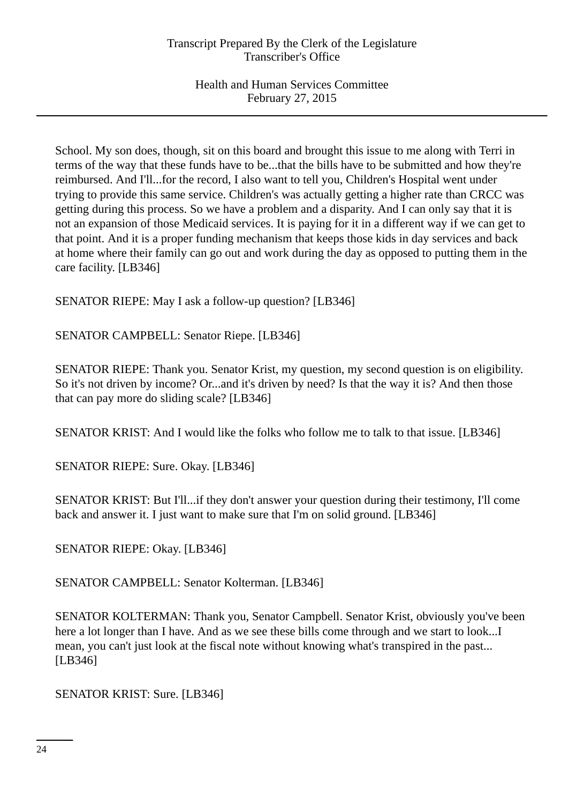School. My son does, though, sit on this board and brought this issue to me along with Terri in terms of the way that these funds have to be...that the bills have to be submitted and how they're reimbursed. And I'll...for the record, I also want to tell you, Children's Hospital went under trying to provide this same service. Children's was actually getting a higher rate than CRCC was getting during this process. So we have a problem and a disparity. And I can only say that it is not an expansion of those Medicaid services. It is paying for it in a different way if we can get to that point. And it is a proper funding mechanism that keeps those kids in day services and back at home where their family can go out and work during the day as opposed to putting them in the care facility. [LB346]

SENATOR RIEPE: May I ask a follow-up question? [LB346]

SENATOR CAMPBELL: Senator Riepe. [LB346]

SENATOR RIEPE: Thank you. Senator Krist, my question, my second question is on eligibility. So it's not driven by income? Or...and it's driven by need? Is that the way it is? And then those that can pay more do sliding scale? [LB346]

SENATOR KRIST: And I would like the folks who follow me to talk to that issue. [LB346]

SENATOR RIEPE: Sure. Okay. [LB346]

SENATOR KRIST: But I'll...if they don't answer your question during their testimony, I'll come back and answer it. I just want to make sure that I'm on solid ground. [LB346]

SENATOR RIEPE: Okay. [LB346]

SENATOR CAMPBELL: Senator Kolterman. [LB346]

SENATOR KOLTERMAN: Thank you, Senator Campbell. Senator Krist, obviously you've been here a lot longer than I have. And as we see these bills come through and we start to look...I mean, you can't just look at the fiscal note without knowing what's transpired in the past... [LB346]

SENATOR KRIST: Sure. [LB346]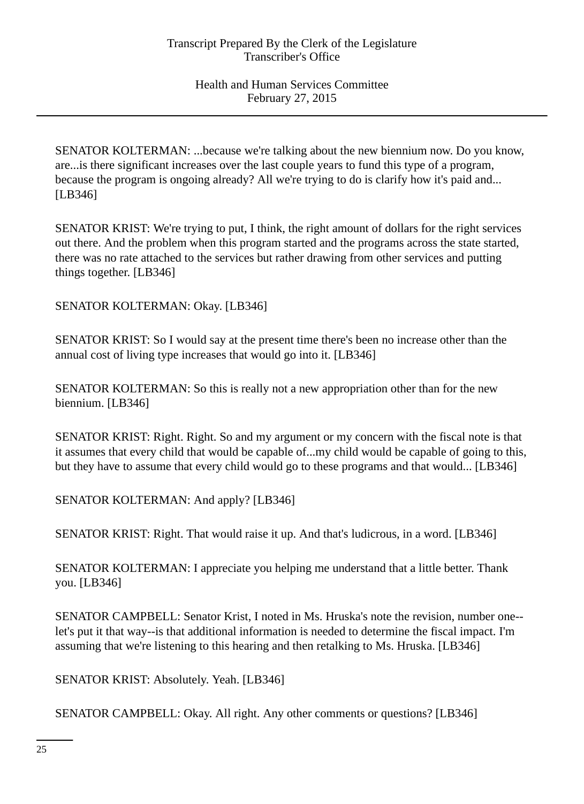SENATOR KOLTERMAN: ...because we're talking about the new biennium now. Do you know, are...is there significant increases over the last couple years to fund this type of a program, because the program is ongoing already? All we're trying to do is clarify how it's paid and... [LB346]

SENATOR KRIST: We're trying to put, I think, the right amount of dollars for the right services out there. And the problem when this program started and the programs across the state started, there was no rate attached to the services but rather drawing from other services and putting things together. [LB346]

SENATOR KOLTERMAN: Okay. [LB346]

SENATOR KRIST: So I would say at the present time there's been no increase other than the annual cost of living type increases that would go into it. [LB346]

SENATOR KOLTERMAN: So this is really not a new appropriation other than for the new biennium. [LB346]

SENATOR KRIST: Right. Right. So and my argument or my concern with the fiscal note is that it assumes that every child that would be capable of...my child would be capable of going to this, but they have to assume that every child would go to these programs and that would... [LB346]

SENATOR KOLTERMAN: And apply? [LB346]

SENATOR KRIST: Right. That would raise it up. And that's ludicrous, in a word. [LB346]

SENATOR KOLTERMAN: I appreciate you helping me understand that a little better. Thank you. [LB346]

SENATOR CAMPBELL: Senator Krist, I noted in Ms. Hruska's note the revision, number one- let's put it that way--is that additional information is needed to determine the fiscal impact. I'm assuming that we're listening to this hearing and then retalking to Ms. Hruska. [LB346]

SENATOR KRIST: Absolutely. Yeah. [LB346]

SENATOR CAMPBELL: Okay. All right. Any other comments or questions? [LB346]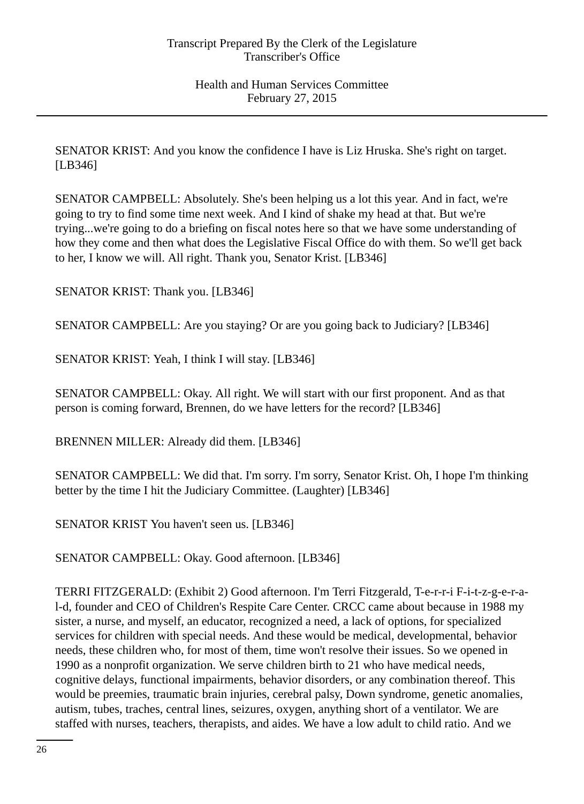SENATOR KRIST: And you know the confidence I have is Liz Hruska. She's right on target. [LB346]

SENATOR CAMPBELL: Absolutely. She's been helping us a lot this year. And in fact, we're going to try to find some time next week. And I kind of shake my head at that. But we're trying...we're going to do a briefing on fiscal notes here so that we have some understanding of how they come and then what does the Legislative Fiscal Office do with them. So we'll get back to her, I know we will. All right. Thank you, Senator Krist. [LB346]

SENATOR KRIST: Thank you. [LB346]

SENATOR CAMPBELL: Are you staying? Or are you going back to Judiciary? [LB346]

SENATOR KRIST: Yeah, I think I will stay. [LB346]

SENATOR CAMPBELL: Okay. All right. We will start with our first proponent. And as that person is coming forward, Brennen, do we have letters for the record? [LB346]

BRENNEN MILLER: Already did them. [LB346]

SENATOR CAMPBELL: We did that. I'm sorry. I'm sorry, Senator Krist. Oh, I hope I'm thinking better by the time I hit the Judiciary Committee. (Laughter) [LB346]

SENATOR KRIST You haven't seen us. [LB346]

SENATOR CAMPBELL: Okay. Good afternoon. [LB346]

TERRI FITZGERALD: (Exhibit 2) Good afternoon. I'm Terri Fitzgerald, T-e-r-r-i F-i-t-z-g-e-r-al-d, founder and CEO of Children's Respite Care Center. CRCC came about because in 1988 my sister, a nurse, and myself, an educator, recognized a need, a lack of options, for specialized services for children with special needs. And these would be medical, developmental, behavior needs, these children who, for most of them, time won't resolve their issues. So we opened in 1990 as a nonprofit organization. We serve children birth to 21 who have medical needs, cognitive delays, functional impairments, behavior disorders, or any combination thereof. This would be preemies, traumatic brain injuries, cerebral palsy, Down syndrome, genetic anomalies, autism, tubes, traches, central lines, seizures, oxygen, anything short of a ventilator. We are staffed with nurses, teachers, therapists, and aides. We have a low adult to child ratio. And we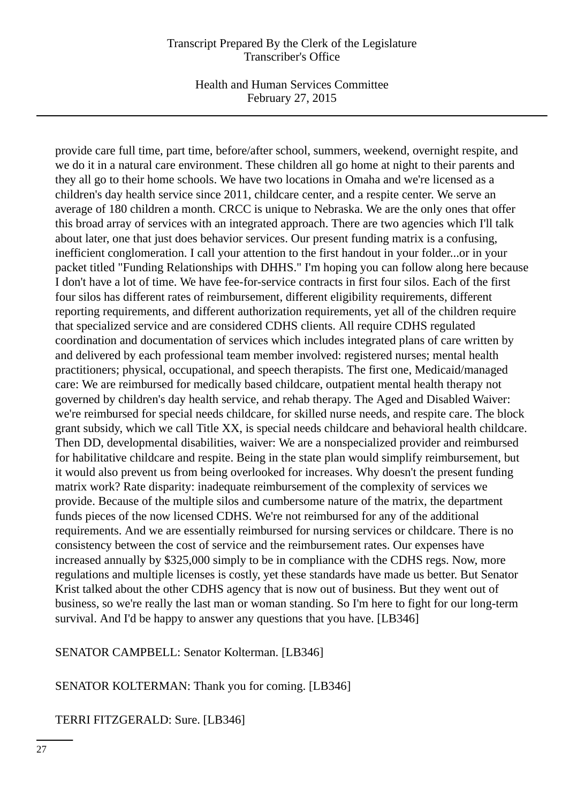Health and Human Services Committee February 27, 2015

provide care full time, part time, before/after school, summers, weekend, overnight respite, and we do it in a natural care environment. These children all go home at night to their parents and they all go to their home schools. We have two locations in Omaha and we're licensed as a children's day health service since 2011, childcare center, and a respite center. We serve an average of 180 children a month. CRCC is unique to Nebraska. We are the only ones that offer this broad array of services with an integrated approach. There are two agencies which I'll talk about later, one that just does behavior services. Our present funding matrix is a confusing, inefficient conglomeration. I call your attention to the first handout in your folder...or in your packet titled "Funding Relationships with DHHS." I'm hoping you can follow along here because I don't have a lot of time. We have fee-for-service contracts in first four silos. Each of the first four silos has different rates of reimbursement, different eligibility requirements, different reporting requirements, and different authorization requirements, yet all of the children require that specialized service and are considered CDHS clients. All require CDHS regulated coordination and documentation of services which includes integrated plans of care written by and delivered by each professional team member involved: registered nurses; mental health practitioners; physical, occupational, and speech therapists. The first one, Medicaid/managed care: We are reimbursed for medically based childcare, outpatient mental health therapy not governed by children's day health service, and rehab therapy. The Aged and Disabled Waiver: we're reimbursed for special needs childcare, for skilled nurse needs, and respite care. The block grant subsidy, which we call Title XX, is special needs childcare and behavioral health childcare. Then DD, developmental disabilities, waiver: We are a nonspecialized provider and reimbursed for habilitative childcare and respite. Being in the state plan would simplify reimbursement, but it would also prevent us from being overlooked for increases. Why doesn't the present funding matrix work? Rate disparity: inadequate reimbursement of the complexity of services we provide. Because of the multiple silos and cumbersome nature of the matrix, the department funds pieces of the now licensed CDHS. We're not reimbursed for any of the additional requirements. And we are essentially reimbursed for nursing services or childcare. There is no consistency between the cost of service and the reimbursement rates. Our expenses have increased annually by \$325,000 simply to be in compliance with the CDHS regs. Now, more regulations and multiple licenses is costly, yet these standards have made us better. But Senator Krist talked about the other CDHS agency that is now out of business. But they went out of business, so we're really the last man or woman standing. So I'm here to fight for our long-term survival. And I'd be happy to answer any questions that you have. [LB346]

#### SENATOR CAMPBELL: Senator Kolterman. [LB346]

SENATOR KOLTERMAN: Thank you for coming. [LB346]

TERRI FITZGERALD: Sure. [LB346]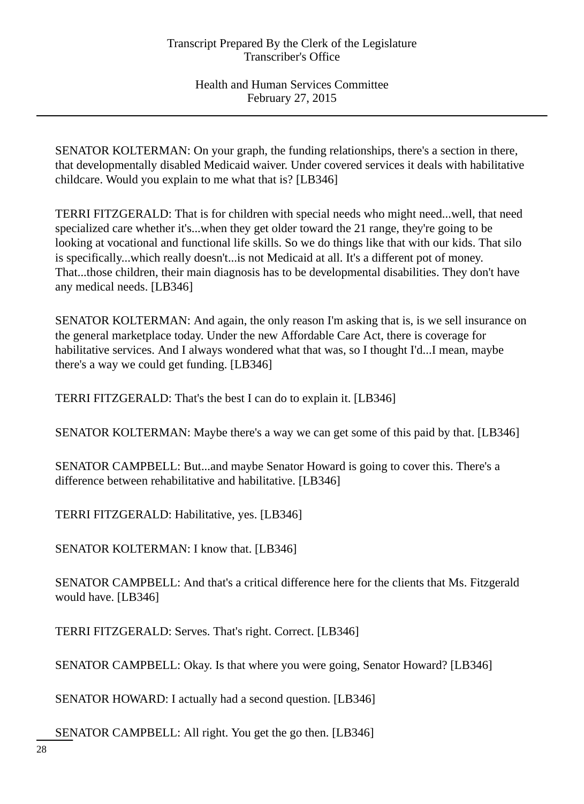SENATOR KOLTERMAN: On your graph, the funding relationships, there's a section in there, that developmentally disabled Medicaid waiver. Under covered services it deals with habilitative childcare. Would you explain to me what that is? [LB346]

TERRI FITZGERALD: That is for children with special needs who might need...well, that need specialized care whether it's...when they get older toward the 21 range, they're going to be looking at vocational and functional life skills. So we do things like that with our kids. That silo is specifically...which really doesn't...is not Medicaid at all. It's a different pot of money. That...those children, their main diagnosis has to be developmental disabilities. They don't have any medical needs. [LB346]

SENATOR KOLTERMAN: And again, the only reason I'm asking that is, is we sell insurance on the general marketplace today. Under the new Affordable Care Act, there is coverage for habilitative services. And I always wondered what that was, so I thought I'd...I mean, maybe there's a way we could get funding. [LB346]

TERRI FITZGERALD: That's the best I can do to explain it. [LB346]

SENATOR KOLTERMAN: Maybe there's a way we can get some of this paid by that. [LB346]

SENATOR CAMPBELL: But...and maybe Senator Howard is going to cover this. There's a difference between rehabilitative and habilitative. [LB346]

TERRI FITZGERALD: Habilitative, yes. [LB346]

SENATOR KOLTERMAN: I know that. [LB346]

SENATOR CAMPBELL: And that's a critical difference here for the clients that Ms. Fitzgerald would have. [LB346]

TERRI FITZGERALD: Serves. That's right. Correct. [LB346]

SENATOR CAMPBELL: Okay. Is that where you were going, Senator Howard? [LB346]

SENATOR HOWARD: I actually had a second question. [LB346]

SENATOR CAMPBELL: All right. You get the go then. [LB346]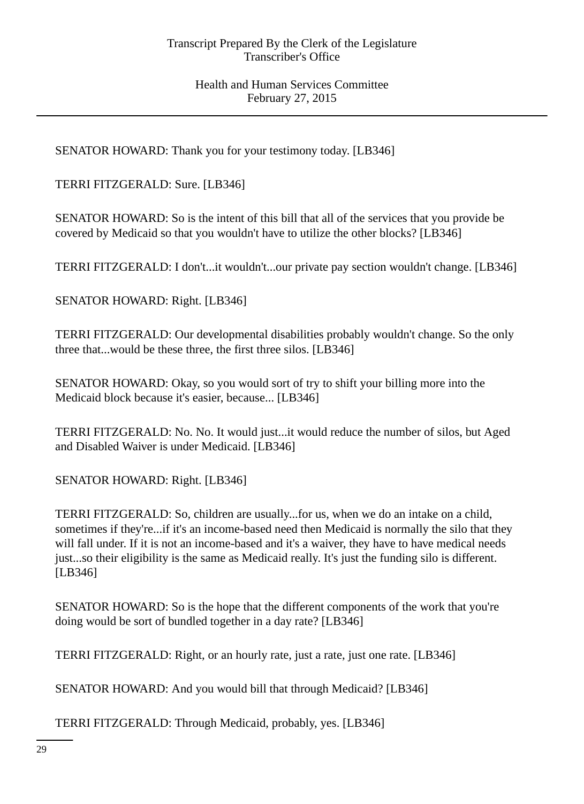SENATOR HOWARD: Thank you for your testimony today. [LB346]

TERRI FITZGERALD: Sure. [LB346]

SENATOR HOWARD: So is the intent of this bill that all of the services that you provide be covered by Medicaid so that you wouldn't have to utilize the other blocks? [LB346]

TERRI FITZGERALD: I don't...it wouldn't...our private pay section wouldn't change. [LB346]

SENATOR HOWARD: Right. [LB346]

TERRI FITZGERALD: Our developmental disabilities probably wouldn't change. So the only three that...would be these three, the first three silos. [LB346]

SENATOR HOWARD: Okay, so you would sort of try to shift your billing more into the Medicaid block because it's easier, because... [LB346]

TERRI FITZGERALD: No. No. It would just...it would reduce the number of silos, but Aged and Disabled Waiver is under Medicaid. [LB346]

SENATOR HOWARD: Right. [LB346]

TERRI FITZGERALD: So, children are usually...for us, when we do an intake on a child, sometimes if they're...if it's an income-based need then Medicaid is normally the silo that they will fall under. If it is not an income-based and it's a waiver, they have to have medical needs just...so their eligibility is the same as Medicaid really. It's just the funding silo is different. [LB346]

SENATOR HOWARD: So is the hope that the different components of the work that you're doing would be sort of bundled together in a day rate? [LB346]

TERRI FITZGERALD: Right, or an hourly rate, just a rate, just one rate. [LB346]

SENATOR HOWARD: And you would bill that through Medicaid? [LB346]

TERRI FITZGERALD: Through Medicaid, probably, yes. [LB346]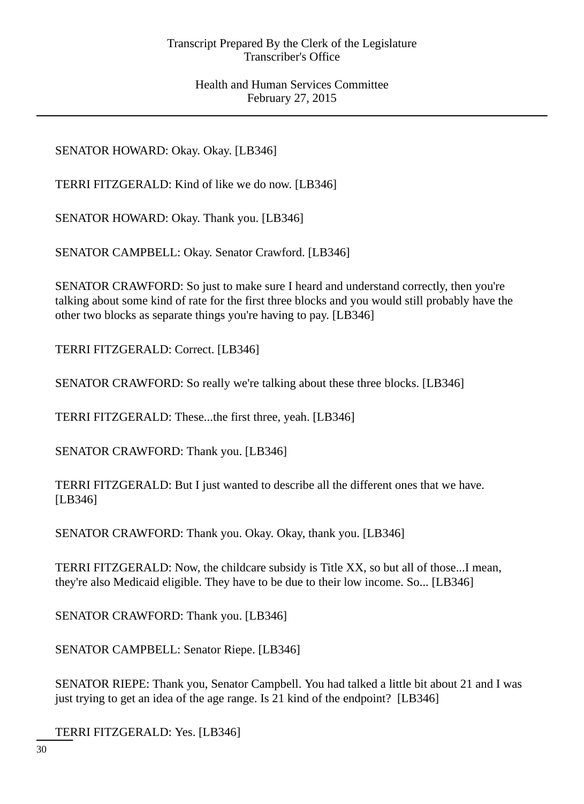SENATOR HOWARD: Okay. Okay. [LB346]

TERRI FITZGERALD: Kind of like we do now. [LB346]

SENATOR HOWARD: Okay. Thank you. [LB346]

SENATOR CAMPBELL: Okay. Senator Crawford. [LB346]

SENATOR CRAWFORD: So just to make sure I heard and understand correctly, then you're talking about some kind of rate for the first three blocks and you would still probably have the other two blocks as separate things you're having to pay. [LB346]

TERRI FITZGERALD: Correct. [LB346]

SENATOR CRAWFORD: So really we're talking about these three blocks. [LB346]

TERRI FITZGERALD: These...the first three, yeah. [LB346]

SENATOR CRAWFORD: Thank you. [LB346]

TERRI FITZGERALD: But I just wanted to describe all the different ones that we have. [LB346]

SENATOR CRAWFORD: Thank you. Okay. Okay, thank you. [LB346]

TERRI FITZGERALD: Now, the childcare subsidy is Title XX, so but all of those...I mean, they're also Medicaid eligible. They have to be due to their low income. So... [LB346]

SENATOR CRAWFORD: Thank you. [LB346]

SENATOR CAMPBELL: Senator Riepe. [LB346]

SENATOR RIEPE: Thank you, Senator Campbell. You had talked a little bit about 21 and I was just trying to get an idea of the age range. Is 21 kind of the endpoint? [LB346]

TERRI FITZGERALD: Yes. [LB346]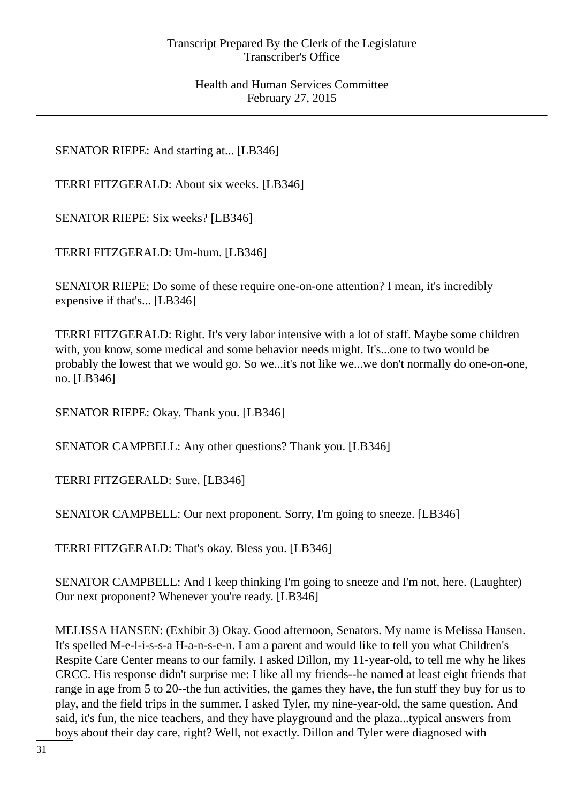SENATOR RIEPE: And starting at... [LB346]

TERRI FITZGERALD: About six weeks. [LB346]

SENATOR RIEPE: Six weeks? [LB346]

TERRI FITZGERALD: Um-hum. [LB346]

SENATOR RIEPE: Do some of these require one-on-one attention? I mean, it's incredibly expensive if that's... [LB346]

TERRI FITZGERALD: Right. It's very labor intensive with a lot of staff. Maybe some children with, you know, some medical and some behavior needs might. It's...one to two would be probably the lowest that we would go. So we...it's not like we...we don't normally do one-on-one, no. [LB346]

SENATOR RIEPE: Okay. Thank you. [LB346]

SENATOR CAMPBELL: Any other questions? Thank you. [LB346]

TERRI FITZGERALD: Sure. [LB346]

SENATOR CAMPBELL: Our next proponent. Sorry, I'm going to sneeze. [LB346]

TERRI FITZGERALD: That's okay. Bless you. [LB346]

SENATOR CAMPBELL: And I keep thinking I'm going to sneeze and I'm not, here. (Laughter) Our next proponent? Whenever you're ready. [LB346]

MELISSA HANSEN: (Exhibit 3) Okay. Good afternoon, Senators. My name is Melissa Hansen. It's spelled M-e-l-i-s-s-a H-a-n-s-e-n. I am a parent and would like to tell you what Children's Respite Care Center means to our family. I asked Dillon, my 11-year-old, to tell me why he likes CRCC. His response didn't surprise me: I like all my friends--he named at least eight friends that range in age from 5 to 20--the fun activities, the games they have, the fun stuff they buy for us to play, and the field trips in the summer. I asked Tyler, my nine-year-old, the same question. And said, it's fun, the nice teachers, and they have playground and the plaza...typical answers from boys about their day care, right? Well, not exactly. Dillon and Tyler were diagnosed with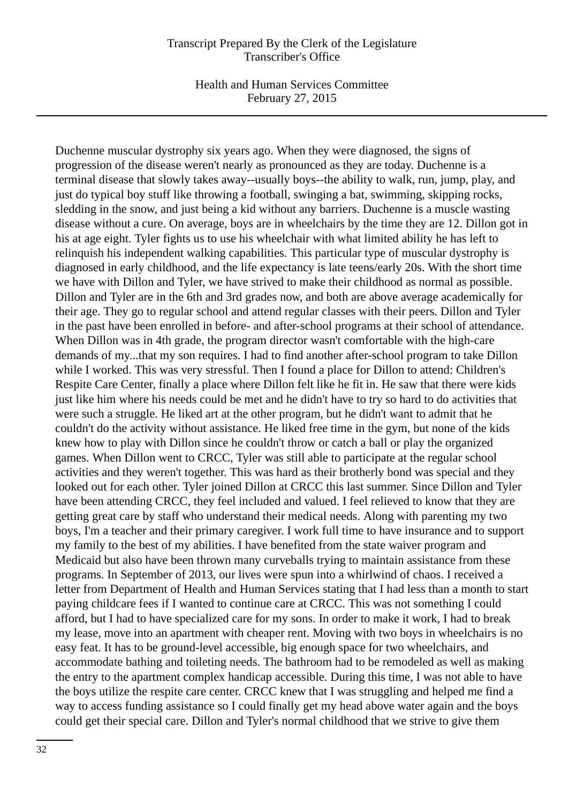Health and Human Services Committee February 27, 2015

Duchenne muscular dystrophy six years ago. When they were diagnosed, the signs of progression of the disease weren't nearly as pronounced as they are today. Duchenne is a terminal disease that slowly takes away--usually boys--the ability to walk, run, jump, play, and just do typical boy stuff like throwing a football, swinging a bat, swimming, skipping rocks, sledding in the snow, and just being a kid without any barriers. Duchenne is a muscle wasting disease without a cure. On average, boys are in wheelchairs by the time they are 12. Dillon got in his at age eight. Tyler fights us to use his wheelchair with what limited ability he has left to relinquish his independent walking capabilities. This particular type of muscular dystrophy is diagnosed in early childhood, and the life expectancy is late teens/early 20s. With the short time we have with Dillon and Tyler, we have strived to make their childhood as normal as possible. Dillon and Tyler are in the 6th and 3rd grades now, and both are above average academically for their age. They go to regular school and attend regular classes with their peers. Dillon and Tyler in the past have been enrolled in before- and after-school programs at their school of attendance. When Dillon was in 4th grade, the program director wasn't comfortable with the high-care demands of my...that my son requires. I had to find another after-school program to take Dillon while I worked. This was very stressful. Then I found a place for Dillon to attend: Children's Respite Care Center, finally a place where Dillon felt like he fit in. He saw that there were kids just like him where his needs could be met and he didn't have to try so hard to do activities that were such a struggle. He liked art at the other program, but he didn't want to admit that he couldn't do the activity without assistance. He liked free time in the gym, but none of the kids knew how to play with Dillon since he couldn't throw or catch a ball or play the organized games. When Dillon went to CRCC, Tyler was still able to participate at the regular school activities and they weren't together. This was hard as their brotherly bond was special and they looked out for each other. Tyler joined Dillon at CRCC this last summer. Since Dillon and Tyler have been attending CRCC, they feel included and valued. I feel relieved to know that they are getting great care by staff who understand their medical needs. Along with parenting my two boys, I'm a teacher and their primary caregiver. I work full time to have insurance and to support my family to the best of my abilities. I have benefited from the state waiver program and Medicaid but also have been thrown many curveballs trying to maintain assistance from these programs. In September of 2013, our lives were spun into a whirlwind of chaos. I received a letter from Department of Health and Human Services stating that I had less than a month to start paying childcare fees if I wanted to continue care at CRCC. This was not something I could afford, but I had to have specialized care for my sons. In order to make it work, I had to break my lease, move into an apartment with cheaper rent. Moving with two boys in wheelchairs is no easy feat. It has to be ground-level accessible, big enough space for two wheelchairs, and accommodate bathing and toileting needs. The bathroom had to be remodeled as well as making the entry to the apartment complex handicap accessible. During this time, I was not able to have the boys utilize the respite care center. CRCC knew that I was struggling and helped me find a way to access funding assistance so I could finally get my head above water again and the boys could get their special care. Dillon and Tyler's normal childhood that we strive to give them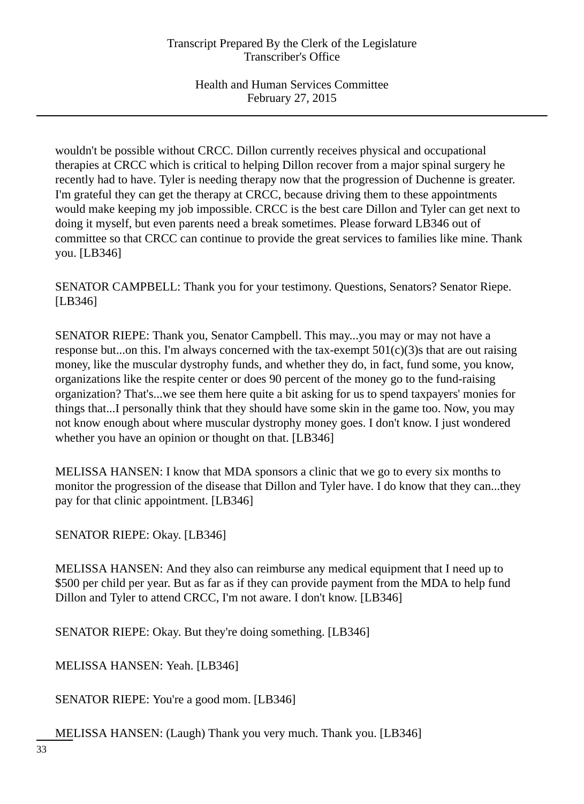wouldn't be possible without CRCC. Dillon currently receives physical and occupational therapies at CRCC which is critical to helping Dillon recover from a major spinal surgery he recently had to have. Tyler is needing therapy now that the progression of Duchenne is greater. I'm grateful they can get the therapy at CRCC, because driving them to these appointments would make keeping my job impossible. CRCC is the best care Dillon and Tyler can get next to doing it myself, but even parents need a break sometimes. Please forward LB346 out of committee so that CRCC can continue to provide the great services to families like mine. Thank you. [LB346]

SENATOR CAMPBELL: Thank you for your testimony. Questions, Senators? Senator Riepe. [LB346]

SENATOR RIEPE: Thank you, Senator Campbell. This may...you may or may not have a response but...on this. I'm always concerned with the tax-exempt  $501(c)(3)$ s that are out raising money, like the muscular dystrophy funds, and whether they do, in fact, fund some, you know, organizations like the respite center or does 90 percent of the money go to the fund-raising organization? That's...we see them here quite a bit asking for us to spend taxpayers' monies for things that...I personally think that they should have some skin in the game too. Now, you may not know enough about where muscular dystrophy money goes. I don't know. I just wondered whether you have an opinion or thought on that. [LB346]

MELISSA HANSEN: I know that MDA sponsors a clinic that we go to every six months to monitor the progression of the disease that Dillon and Tyler have. I do know that they can...they pay for that clinic appointment. [LB346]

SENATOR RIEPE: Okay. [LB346]

MELISSA HANSEN: And they also can reimburse any medical equipment that I need up to \$500 per child per year. But as far as if they can provide payment from the MDA to help fund Dillon and Tyler to attend CRCC, I'm not aware. I don't know. [LB346]

SENATOR RIEPE: Okay. But they're doing something. [LB346]

MELISSA HANSEN: Yeah. [LB346]

SENATOR RIEPE: You're a good mom. [LB346]

MELISSA HANSEN: (Laugh) Thank you very much. Thank you. [LB346]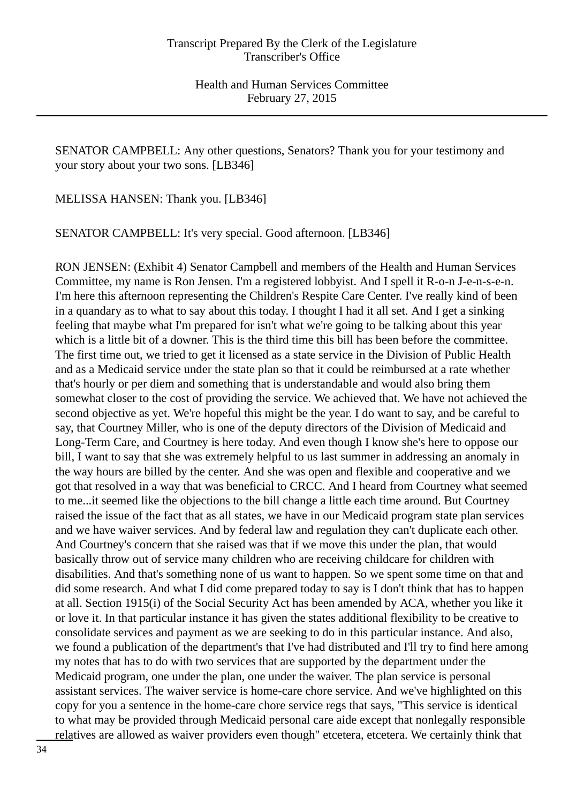SENATOR CAMPBELL: Any other questions, Senators? Thank you for your testimony and your story about your two sons. [LB346]

MELISSA HANSEN: Thank you. [LB346]

SENATOR CAMPBELL: It's very special. Good afternoon. [LB346]

RON JENSEN: (Exhibit 4) Senator Campbell and members of the Health and Human Services Committee, my name is Ron Jensen. I'm a registered lobbyist. And I spell it R-o-n J-e-n-s-e-n. I'm here this afternoon representing the Children's Respite Care Center. I've really kind of been in a quandary as to what to say about this today. I thought I had it all set. And I get a sinking feeling that maybe what I'm prepared for isn't what we're going to be talking about this year which is a little bit of a downer. This is the third time this bill has been before the committee. The first time out, we tried to get it licensed as a state service in the Division of Public Health and as a Medicaid service under the state plan so that it could be reimbursed at a rate whether that's hourly or per diem and something that is understandable and would also bring them somewhat closer to the cost of providing the service. We achieved that. We have not achieved the second objective as yet. We're hopeful this might be the year. I do want to say, and be careful to say, that Courtney Miller, who is one of the deputy directors of the Division of Medicaid and Long-Term Care, and Courtney is here today. And even though I know she's here to oppose our bill, I want to say that she was extremely helpful to us last summer in addressing an anomaly in the way hours are billed by the center. And she was open and flexible and cooperative and we got that resolved in a way that was beneficial to CRCC. And I heard from Courtney what seemed to me...it seemed like the objections to the bill change a little each time around. But Courtney raised the issue of the fact that as all states, we have in our Medicaid program state plan services and we have waiver services. And by federal law and regulation they can't duplicate each other. And Courtney's concern that she raised was that if we move this under the plan, that would basically throw out of service many children who are receiving childcare for children with disabilities. And that's something none of us want to happen. So we spent some time on that and did some research. And what I did come prepared today to say is I don't think that has to happen at all. Section 1915(i) of the Social Security Act has been amended by ACA, whether you like it or love it. In that particular instance it has given the states additional flexibility to be creative to consolidate services and payment as we are seeking to do in this particular instance. And also, we found a publication of the department's that I've had distributed and I'll try to find here among my notes that has to do with two services that are supported by the department under the Medicaid program, one under the plan, one under the waiver. The plan service is personal assistant services. The waiver service is home-care chore service. And we've highlighted on this copy for you a sentence in the home-care chore service regs that says, "This service is identical to what may be provided through Medicaid personal care aide except that nonlegally responsible relatives are allowed as waiver providers even though" etcetera, etcetera. We certainly think that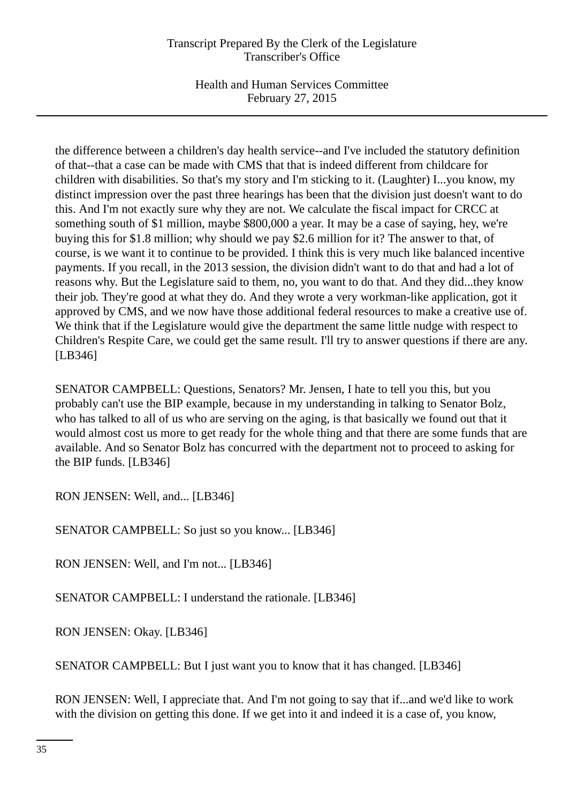Health and Human Services Committee February 27, 2015

the difference between a children's day health service--and I've included the statutory definition of that--that a case can be made with CMS that that is indeed different from childcare for children with disabilities. So that's my story and I'm sticking to it. (Laughter) I...you know, my distinct impression over the past three hearings has been that the division just doesn't want to do this. And I'm not exactly sure why they are not. We calculate the fiscal impact for CRCC at something south of \$1 million, maybe \$800,000 a year. It may be a case of saying, hey, we're buying this for \$1.8 million; why should we pay \$2.6 million for it? The answer to that, of course, is we want it to continue to be provided. I think this is very much like balanced incentive payments. If you recall, in the 2013 session, the division didn't want to do that and had a lot of reasons why. But the Legislature said to them, no, you want to do that. And they did...they know their job. They're good at what they do. And they wrote a very workman-like application, got it approved by CMS, and we now have those additional federal resources to make a creative use of. We think that if the Legislature would give the department the same little nudge with respect to Children's Respite Care, we could get the same result. I'll try to answer questions if there are any. [LB346]

SENATOR CAMPBELL: Questions, Senators? Mr. Jensen, I hate to tell you this, but you probably can't use the BIP example, because in my understanding in talking to Senator Bolz, who has talked to all of us who are serving on the aging, is that basically we found out that it would almost cost us more to get ready for the whole thing and that there are some funds that are available. And so Senator Bolz has concurred with the department not to proceed to asking for the BIP funds. [LB346]

RON JENSEN: Well, and... [LB346]

SENATOR CAMPBELL: So just so you know... [LB346]

RON JENSEN: Well, and I'm not... [LB346]

SENATOR CAMPBELL: I understand the rationale. [LB346]

RON JENSEN: Okay. [LB346]

SENATOR CAMPBELL: But I just want you to know that it has changed. [LB346]

RON JENSEN: Well, I appreciate that. And I'm not going to say that if...and we'd like to work with the division on getting this done. If we get into it and indeed it is a case of, you know,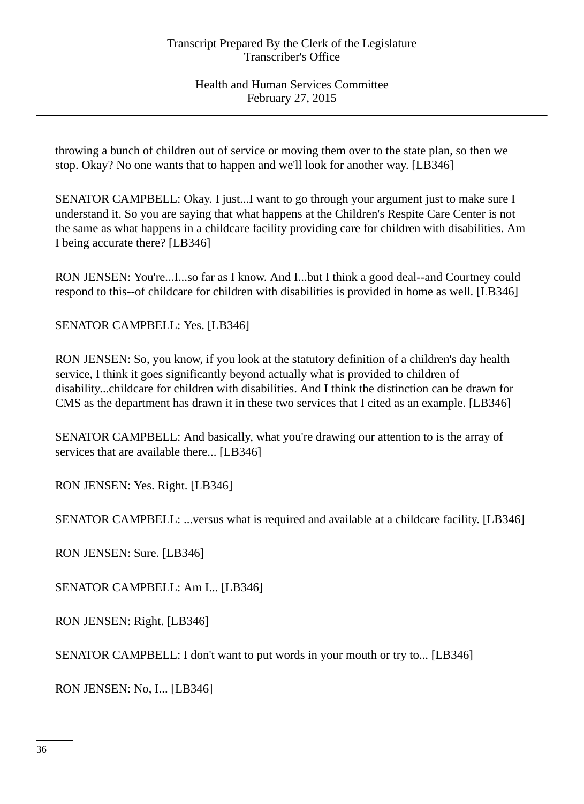throwing a bunch of children out of service or moving them over to the state plan, so then we stop. Okay? No one wants that to happen and we'll look for another way. [LB346]

SENATOR CAMPBELL: Okay. I just...I want to go through your argument just to make sure I understand it. So you are saying that what happens at the Children's Respite Care Center is not the same as what happens in a childcare facility providing care for children with disabilities. Am I being accurate there? [LB346]

RON JENSEN: You're...I...so far as I know. And I...but I think a good deal--and Courtney could respond to this--of childcare for children with disabilities is provided in home as well. [LB346]

SENATOR CAMPBELL: Yes. [LB346]

RON JENSEN: So, you know, if you look at the statutory definition of a children's day health service, I think it goes significantly beyond actually what is provided to children of disability...childcare for children with disabilities. And I think the distinction can be drawn for CMS as the department has drawn it in these two services that I cited as an example. [LB346]

SENATOR CAMPBELL: And basically, what you're drawing our attention to is the array of services that are available there... [LB346]

RON JENSEN: Yes. Right. [LB346]

SENATOR CAMPBELL: ...versus what is required and available at a childcare facility. [LB346]

RON JENSEN: Sure. [LB346]

SENATOR CAMPBELL: Am I... [LB346]

RON JENSEN: Right. [LB346]

SENATOR CAMPBELL: I don't want to put words in your mouth or try to... [LB346]

RON JENSEN: No, I... [LB346]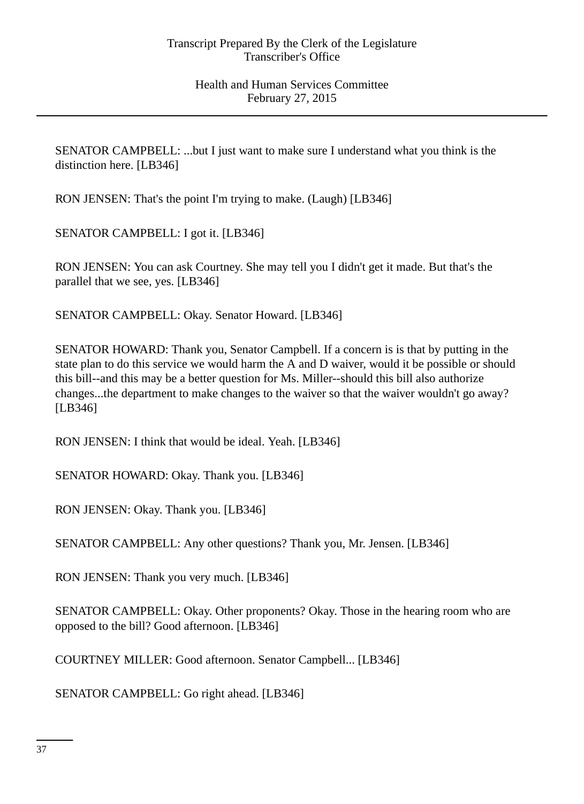SENATOR CAMPBELL: ...but I just want to make sure I understand what you think is the distinction here. [LB346]

RON JENSEN: That's the point I'm trying to make. (Laugh) [LB346]

SENATOR CAMPBELL: I got it. [LB346]

RON JENSEN: You can ask Courtney. She may tell you I didn't get it made. But that's the parallel that we see, yes. [LB346]

SENATOR CAMPBELL: Okay. Senator Howard. [LB346]

SENATOR HOWARD: Thank you, Senator Campbell. If a concern is is that by putting in the state plan to do this service we would harm the A and D waiver, would it be possible or should this bill--and this may be a better question for Ms. Miller--should this bill also authorize changes...the department to make changes to the waiver so that the waiver wouldn't go away? [LB346]

RON JENSEN: I think that would be ideal. Yeah. [LB346]

SENATOR HOWARD: Okay. Thank you. [LB346]

RON JENSEN: Okay. Thank you. [LB346]

SENATOR CAMPBELL: Any other questions? Thank you, Mr. Jensen. [LB346]

RON JENSEN: Thank you very much. [LB346]

SENATOR CAMPBELL: Okay. Other proponents? Okay. Those in the hearing room who are opposed to the bill? Good afternoon. [LB346]

COURTNEY MILLER: Good afternoon. Senator Campbell... [LB346]

SENATOR CAMPBELL: Go right ahead. [LB346]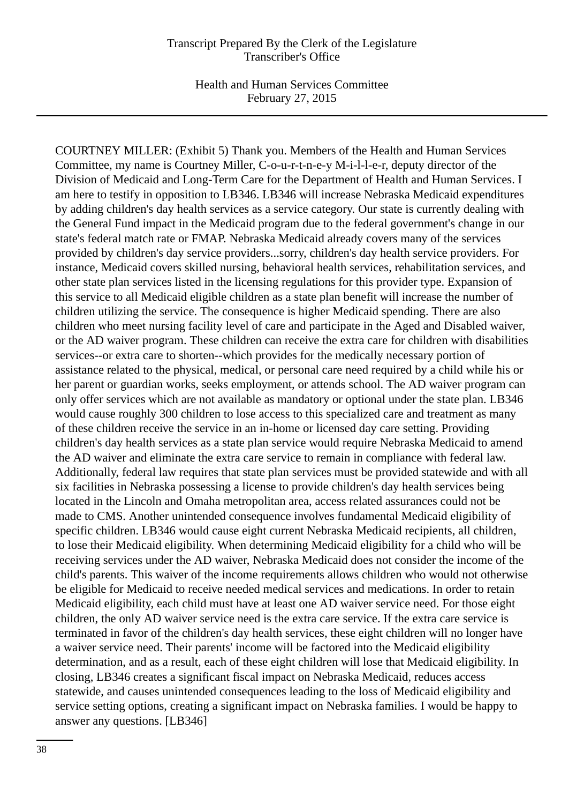Health and Human Services Committee February 27, 2015

COURTNEY MILLER: (Exhibit 5) Thank you. Members of the Health and Human Services Committee, my name is Courtney Miller, C-o-u-r-t-n-e-y M-i-l-l-e-r, deputy director of the Division of Medicaid and Long-Term Care for the Department of Health and Human Services. I am here to testify in opposition to LB346. LB346 will increase Nebraska Medicaid expenditures by adding children's day health services as a service category. Our state is currently dealing with the General Fund impact in the Medicaid program due to the federal government's change in our state's federal match rate or FMAP. Nebraska Medicaid already covers many of the services provided by children's day service providers...sorry, children's day health service providers. For instance, Medicaid covers skilled nursing, behavioral health services, rehabilitation services, and other state plan services listed in the licensing regulations for this provider type. Expansion of this service to all Medicaid eligible children as a state plan benefit will increase the number of children utilizing the service. The consequence is higher Medicaid spending. There are also children who meet nursing facility level of care and participate in the Aged and Disabled waiver, or the AD waiver program. These children can receive the extra care for children with disabilities services--or extra care to shorten--which provides for the medically necessary portion of assistance related to the physical, medical, or personal care need required by a child while his or her parent or guardian works, seeks employment, or attends school. The AD waiver program can only offer services which are not available as mandatory or optional under the state plan. LB346 would cause roughly 300 children to lose access to this specialized care and treatment as many of these children receive the service in an in-home or licensed day care setting. Providing children's day health services as a state plan service would require Nebraska Medicaid to amend the AD waiver and eliminate the extra care service to remain in compliance with federal law. Additionally, federal law requires that state plan services must be provided statewide and with all six facilities in Nebraska possessing a license to provide children's day health services being located in the Lincoln and Omaha metropolitan area, access related assurances could not be made to CMS. Another unintended consequence involves fundamental Medicaid eligibility of specific children. LB346 would cause eight current Nebraska Medicaid recipients, all children, to lose their Medicaid eligibility. When determining Medicaid eligibility for a child who will be receiving services under the AD waiver, Nebraska Medicaid does not consider the income of the child's parents. This waiver of the income requirements allows children who would not otherwise be eligible for Medicaid to receive needed medical services and medications. In order to retain Medicaid eligibility, each child must have at least one AD waiver service need. For those eight children, the only AD waiver service need is the extra care service. If the extra care service is terminated in favor of the children's day health services, these eight children will no longer have a waiver service need. Their parents' income will be factored into the Medicaid eligibility determination, and as a result, each of these eight children will lose that Medicaid eligibility. In closing, LB346 creates a significant fiscal impact on Nebraska Medicaid, reduces access statewide, and causes unintended consequences leading to the loss of Medicaid eligibility and service setting options, creating a significant impact on Nebraska families. I would be happy to answer any questions. [LB346]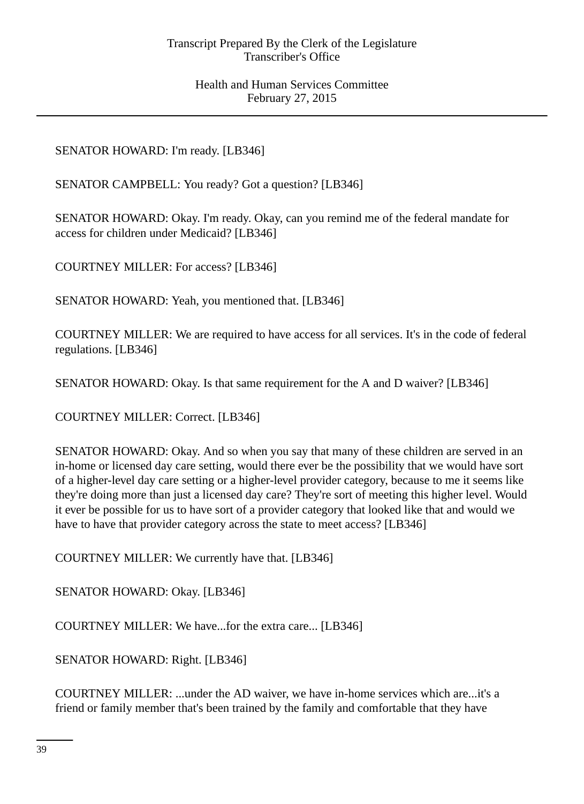SENATOR HOWARD: I'm ready. [LB346]

SENATOR CAMPBELL: You ready? Got a question? [LB346]

SENATOR HOWARD: Okay. I'm ready. Okay, can you remind me of the federal mandate for access for children under Medicaid? [LB346]

COURTNEY MILLER: For access? [LB346]

SENATOR HOWARD: Yeah, you mentioned that. [LB346]

COURTNEY MILLER: We are required to have access for all services. It's in the code of federal regulations. [LB346]

SENATOR HOWARD: Okay. Is that same requirement for the A and D waiver? [LB346]

COURTNEY MILLER: Correct. [LB346]

SENATOR HOWARD: Okay. And so when you say that many of these children are served in an in-home or licensed day care setting, would there ever be the possibility that we would have sort of a higher-level day care setting or a higher-level provider category, because to me it seems like they're doing more than just a licensed day care? They're sort of meeting this higher level. Would it ever be possible for us to have sort of a provider category that looked like that and would we have to have that provider category across the state to meet access? [LB346]

COURTNEY MILLER: We currently have that. [LB346]

SENATOR HOWARD: Okay. [LB346]

COURTNEY MILLER: We have...for the extra care... [LB346]

SENATOR HOWARD: Right. [LB346]

COURTNEY MILLER: ...under the AD waiver, we have in-home services which are...it's a friend or family member that's been trained by the family and comfortable that they have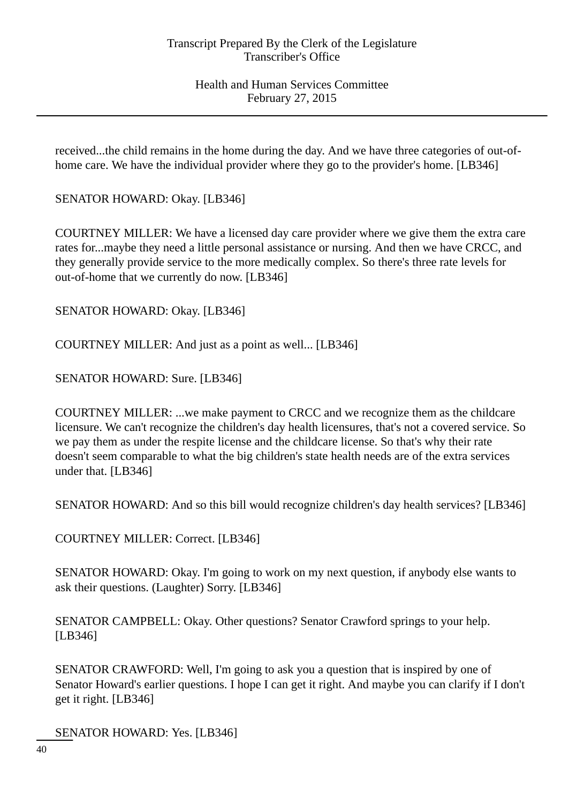received...the child remains in the home during the day. And we have three categories of out-ofhome care. We have the individual provider where they go to the provider's home. [LB346]

SENATOR HOWARD: Okay. [LB346]

COURTNEY MILLER: We have a licensed day care provider where we give them the extra care rates for...maybe they need a little personal assistance or nursing. And then we have CRCC, and they generally provide service to the more medically complex. So there's three rate levels for out-of-home that we currently do now. [LB346]

SENATOR HOWARD: Okay. [LB346]

COURTNEY MILLER: And just as a point as well... [LB346]

SENATOR HOWARD: Sure. [LB346]

COURTNEY MILLER: ...we make payment to CRCC and we recognize them as the childcare licensure. We can't recognize the children's day health licensures, that's not a covered service. So we pay them as under the respite license and the childcare license. So that's why their rate doesn't seem comparable to what the big children's state health needs are of the extra services under that. [LB346]

SENATOR HOWARD: And so this bill would recognize children's day health services? [LB346]

COURTNEY MILLER: Correct. [LB346]

SENATOR HOWARD: Okay. I'm going to work on my next question, if anybody else wants to ask their questions. (Laughter) Sorry. [LB346]

SENATOR CAMPBELL: Okay. Other questions? Senator Crawford springs to your help. [LB346]

SENATOR CRAWFORD: Well, I'm going to ask you a question that is inspired by one of Senator Howard's earlier questions. I hope I can get it right. And maybe you can clarify if I don't get it right. [LB346]

SENATOR HOWARD: Yes. [LB346]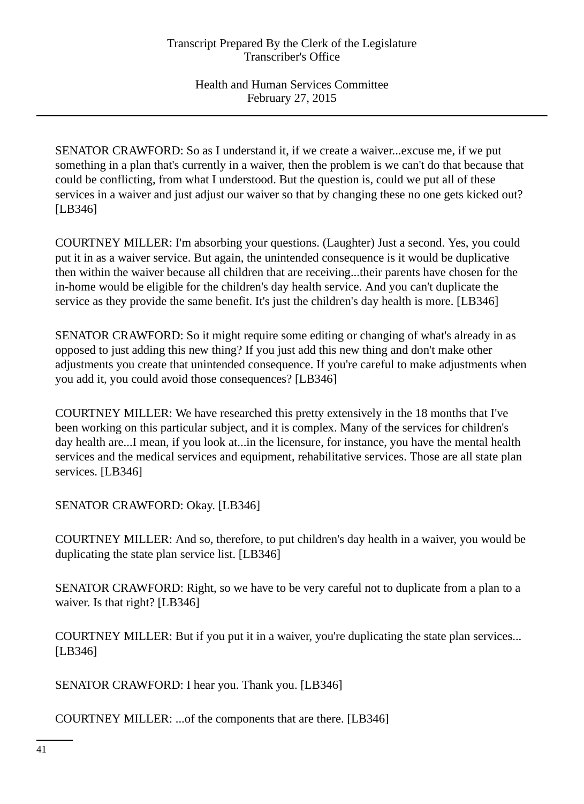SENATOR CRAWFORD: So as I understand it, if we create a waiver...excuse me, if we put something in a plan that's currently in a waiver, then the problem is we can't do that because that could be conflicting, from what I understood. But the question is, could we put all of these services in a waiver and just adjust our waiver so that by changing these no one gets kicked out? [LB346]

COURTNEY MILLER: I'm absorbing your questions. (Laughter) Just a second. Yes, you could put it in as a waiver service. But again, the unintended consequence is it would be duplicative then within the waiver because all children that are receiving...their parents have chosen for the in-home would be eligible for the children's day health service. And you can't duplicate the service as they provide the same benefit. It's just the children's day health is more. [LB346]

SENATOR CRAWFORD: So it might require some editing or changing of what's already in as opposed to just adding this new thing? If you just add this new thing and don't make other adjustments you create that unintended consequence. If you're careful to make adjustments when you add it, you could avoid those consequences? [LB346]

COURTNEY MILLER: We have researched this pretty extensively in the 18 months that I've been working on this particular subject, and it is complex. Many of the services for children's day health are...I mean, if you look at...in the licensure, for instance, you have the mental health services and the medical services and equipment, rehabilitative services. Those are all state plan services. [LB346]

SENATOR CRAWFORD: Okay. [LB346]

COURTNEY MILLER: And so, therefore, to put children's day health in a waiver, you would be duplicating the state plan service list. [LB346]

SENATOR CRAWFORD: Right, so we have to be very careful not to duplicate from a plan to a waiver. Is that right? [LB346]

COURTNEY MILLER: But if you put it in a waiver, you're duplicating the state plan services... [LB346]

SENATOR CRAWFORD: I hear you. Thank you. [LB346]

COURTNEY MILLER: ...of the components that are there. [LB346]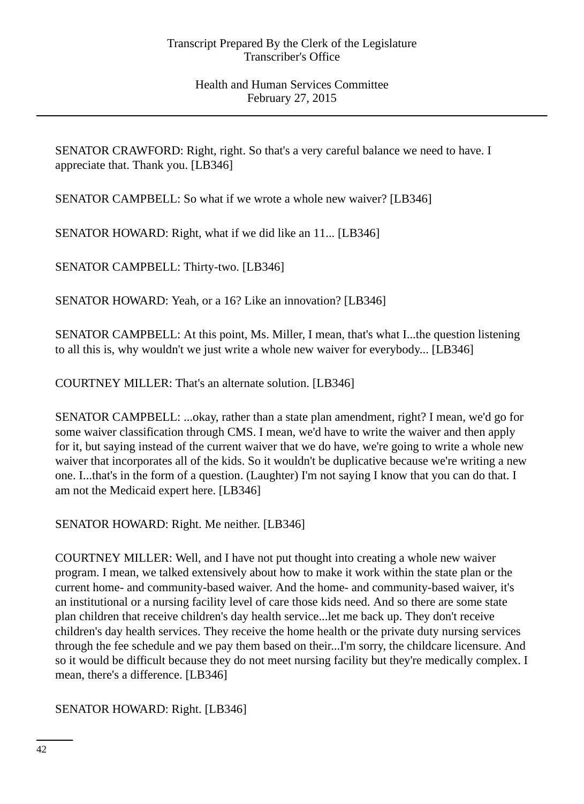SENATOR CRAWFORD: Right, right. So that's a very careful balance we need to have. I appreciate that. Thank you. [LB346]

SENATOR CAMPBELL: So what if we wrote a whole new waiver? [LB346]

SENATOR HOWARD: Right, what if we did like an 11... [LB346]

SENATOR CAMPBELL: Thirty-two. [LB346]

SENATOR HOWARD: Yeah, or a 16? Like an innovation? [LB346]

SENATOR CAMPBELL: At this point, Ms. Miller, I mean, that's what I...the question listening to all this is, why wouldn't we just write a whole new waiver for everybody... [LB346]

COURTNEY MILLER: That's an alternate solution. [LB346]

SENATOR CAMPBELL: ...okay, rather than a state plan amendment, right? I mean, we'd go for some waiver classification through CMS. I mean, we'd have to write the waiver and then apply for it, but saying instead of the current waiver that we do have, we're going to write a whole new waiver that incorporates all of the kids. So it wouldn't be duplicative because we're writing a new one. I...that's in the form of a question. (Laughter) I'm not saying I know that you can do that. I am not the Medicaid expert here. [LB346]

SENATOR HOWARD: Right. Me neither. [LB346]

COURTNEY MILLER: Well, and I have not put thought into creating a whole new waiver program. I mean, we talked extensively about how to make it work within the state plan or the current home- and community-based waiver. And the home- and community-based waiver, it's an institutional or a nursing facility level of care those kids need. And so there are some state plan children that receive children's day health service...let me back up. They don't receive children's day health services. They receive the home health or the private duty nursing services through the fee schedule and we pay them based on their...I'm sorry, the childcare licensure. And so it would be difficult because they do not meet nursing facility but they're medically complex. I mean, there's a difference. [LB346]

SENATOR HOWARD: Right. [LB346]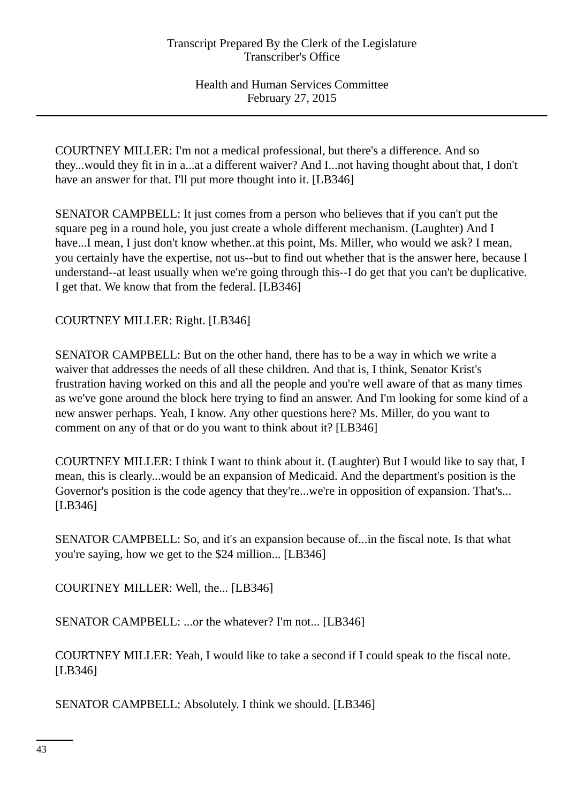COURTNEY MILLER: I'm not a medical professional, but there's a difference. And so they...would they fit in in a...at a different waiver? And I...not having thought about that, I don't have an answer for that. I'll put more thought into it. [LB346]

SENATOR CAMPBELL: It just comes from a person who believes that if you can't put the square peg in a round hole, you just create a whole different mechanism. (Laughter) And I have...I mean, I just don't know whether..at this point, Ms. Miller, who would we ask? I mean, you certainly have the expertise, not us--but to find out whether that is the answer here, because I understand--at least usually when we're going through this--I do get that you can't be duplicative. I get that. We know that from the federal. [LB346]

COURTNEY MILLER: Right. [LB346]

SENATOR CAMPBELL: But on the other hand, there has to be a way in which we write a waiver that addresses the needs of all these children. And that is, I think, Senator Krist's frustration having worked on this and all the people and you're well aware of that as many times as we've gone around the block here trying to find an answer. And I'm looking for some kind of a new answer perhaps. Yeah, I know. Any other questions here? Ms. Miller, do you want to comment on any of that or do you want to think about it? [LB346]

COURTNEY MILLER: I think I want to think about it. (Laughter) But I would like to say that, I mean, this is clearly...would be an expansion of Medicaid. And the department's position is the Governor's position is the code agency that they're...we're in opposition of expansion. That's... [LB346]

SENATOR CAMPBELL: So, and it's an expansion because of...in the fiscal note. Is that what you're saying, how we get to the \$24 million... [LB346]

COURTNEY MILLER: Well, the... [LB346]

SENATOR CAMPBELL: ...or the whatever? I'm not... [LB346]

COURTNEY MILLER: Yeah, I would like to take a second if I could speak to the fiscal note. [LB346]

SENATOR CAMPBELL: Absolutely. I think we should. [LB346]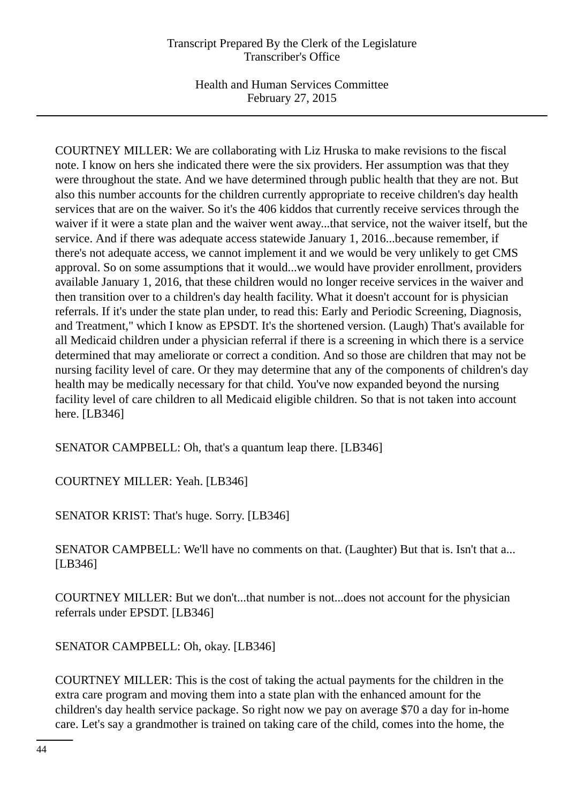COURTNEY MILLER: We are collaborating with Liz Hruska to make revisions to the fiscal note. I know on hers she indicated there were the six providers. Her assumption was that they were throughout the state. And we have determined through public health that they are not. But also this number accounts for the children currently appropriate to receive children's day health services that are on the waiver. So it's the 406 kiddos that currently receive services through the waiver if it were a state plan and the waiver went away...that service, not the waiver itself, but the service. And if there was adequate access statewide January 1, 2016...because remember, if there's not adequate access, we cannot implement it and we would be very unlikely to get CMS approval. So on some assumptions that it would...we would have provider enrollment, providers available January 1, 2016, that these children would no longer receive services in the waiver and then transition over to a children's day health facility. What it doesn't account for is physician referrals. If it's under the state plan under, to read this: Early and Periodic Screening, Diagnosis, and Treatment," which I know as EPSDT. It's the shortened version. (Laugh) That's available for all Medicaid children under a physician referral if there is a screening in which there is a service determined that may ameliorate or correct a condition. And so those are children that may not be nursing facility level of care. Or they may determine that any of the components of children's day health may be medically necessary for that child. You've now expanded beyond the nursing facility level of care children to all Medicaid eligible children. So that is not taken into account here. [LB346]

SENATOR CAMPBELL: Oh, that's a quantum leap there. [LB346]

COURTNEY MILLER: Yeah. [LB346]

SENATOR KRIST: That's huge. Sorry. [LB346]

SENATOR CAMPBELL: We'll have no comments on that. (Laughter) But that is. Isn't that a... [LB346]

COURTNEY MILLER: But we don't...that number is not...does not account for the physician referrals under EPSDT. [LB346]

SENATOR CAMPBELL: Oh, okay. [LB346]

COURTNEY MILLER: This is the cost of taking the actual payments for the children in the extra care program and moving them into a state plan with the enhanced amount for the children's day health service package. So right now we pay on average \$70 a day for in-home care. Let's say a grandmother is trained on taking care of the child, comes into the home, the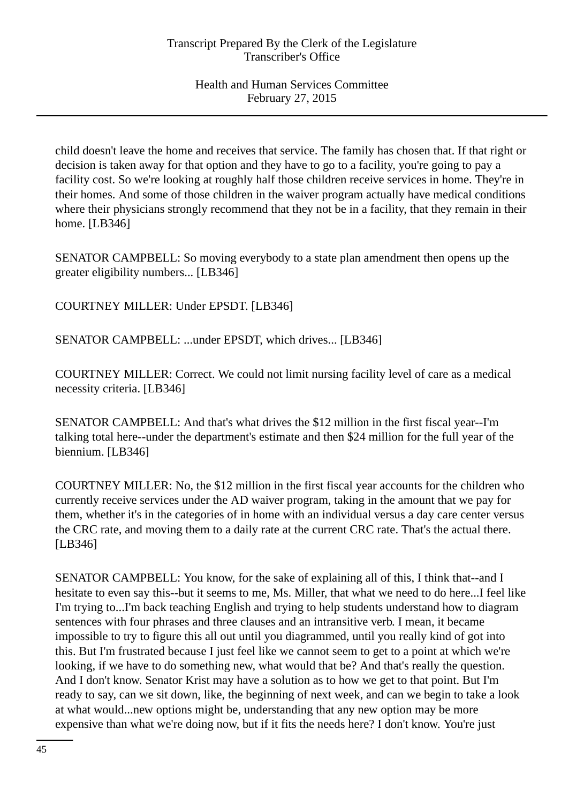child doesn't leave the home and receives that service. The family has chosen that. If that right or decision is taken away for that option and they have to go to a facility, you're going to pay a facility cost. So we're looking at roughly half those children receive services in home. They're in their homes. And some of those children in the waiver program actually have medical conditions where their physicians strongly recommend that they not be in a facility, that they remain in their home. [LB346]

SENATOR CAMPBELL: So moving everybody to a state plan amendment then opens up the greater eligibility numbers... [LB346]

COURTNEY MILLER: Under EPSDT. [LB346]

SENATOR CAMPBELL: ...under EPSDT, which drives... [LB346]

COURTNEY MILLER: Correct. We could not limit nursing facility level of care as a medical necessity criteria. [LB346]

SENATOR CAMPBELL: And that's what drives the \$12 million in the first fiscal year--I'm talking total here--under the department's estimate and then \$24 million for the full year of the biennium. [LB346]

COURTNEY MILLER: No, the \$12 million in the first fiscal year accounts for the children who currently receive services under the AD waiver program, taking in the amount that we pay for them, whether it's in the categories of in home with an individual versus a day care center versus the CRC rate, and moving them to a daily rate at the current CRC rate. That's the actual there. [LB346]

SENATOR CAMPBELL: You know, for the sake of explaining all of this, I think that--and I hesitate to even say this--but it seems to me, Ms. Miller, that what we need to do here...I feel like I'm trying to...I'm back teaching English and trying to help students understand how to diagram sentences with four phrases and three clauses and an intransitive verb. I mean, it became impossible to try to figure this all out until you diagrammed, until you really kind of got into this. But I'm frustrated because I just feel like we cannot seem to get to a point at which we're looking, if we have to do something new, what would that be? And that's really the question. And I don't know. Senator Krist may have a solution as to how we get to that point. But I'm ready to say, can we sit down, like, the beginning of next week, and can we begin to take a look at what would...new options might be, understanding that any new option may be more expensive than what we're doing now, but if it fits the needs here? I don't know. You're just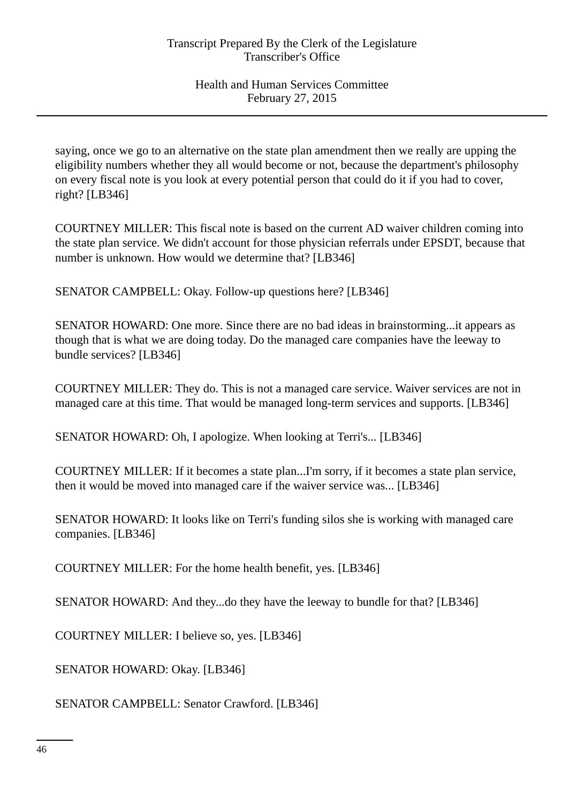saying, once we go to an alternative on the state plan amendment then we really are upping the eligibility numbers whether they all would become or not, because the department's philosophy on every fiscal note is you look at every potential person that could do it if you had to cover, right? [LB346]

COURTNEY MILLER: This fiscal note is based on the current AD waiver children coming into the state plan service. We didn't account for those physician referrals under EPSDT, because that number is unknown. How would we determine that? [LB346]

SENATOR CAMPBELL: Okay. Follow-up questions here? [LB346]

SENATOR HOWARD: One more. Since there are no bad ideas in brainstorming...it appears as though that is what we are doing today. Do the managed care companies have the leeway to bundle services? [LB346]

COURTNEY MILLER: They do. This is not a managed care service. Waiver services are not in managed care at this time. That would be managed long-term services and supports. [LB346]

SENATOR HOWARD: Oh, I apologize. When looking at Terri's... [LB346]

COURTNEY MILLER: If it becomes a state plan...I'm sorry, if it becomes a state plan service, then it would be moved into managed care if the waiver service was... [LB346]

SENATOR HOWARD: It looks like on Terri's funding silos she is working with managed care companies. [LB346]

COURTNEY MILLER: For the home health benefit, yes. [LB346]

SENATOR HOWARD: And they...do they have the leeway to bundle for that? [LB346]

COURTNEY MILLER: I believe so, yes. [LB346]

SENATOR HOWARD: Okay. [LB346]

SENATOR CAMPBELL: Senator Crawford. [LB346]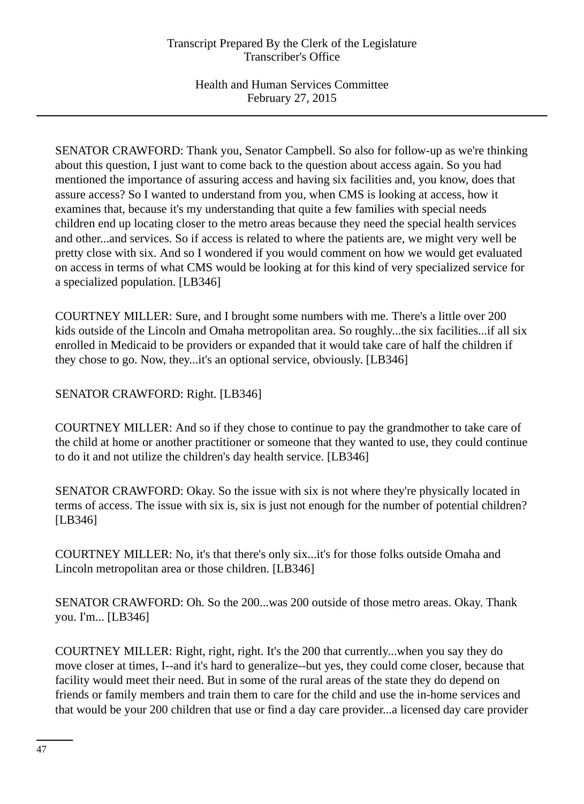SENATOR CRAWFORD: Thank you, Senator Campbell. So also for follow-up as we're thinking about this question, I just want to come back to the question about access again. So you had mentioned the importance of assuring access and having six facilities and, you know, does that assure access? So I wanted to understand from you, when CMS is looking at access, how it examines that, because it's my understanding that quite a few families with special needs children end up locating closer to the metro areas because they need the special health services and other...and services. So if access is related to where the patients are, we might very well be pretty close with six. And so I wondered if you would comment on how we would get evaluated on access in terms of what CMS would be looking at for this kind of very specialized service for a specialized population. [LB346]

COURTNEY MILLER: Sure, and I brought some numbers with me. There's a little over 200 kids outside of the Lincoln and Omaha metropolitan area. So roughly...the six facilities...if all six enrolled in Medicaid to be providers or expanded that it would take care of half the children if they chose to go. Now, they...it's an optional service, obviously. [LB346]

SENATOR CRAWFORD: Right. [LB346]

COURTNEY MILLER: And so if they chose to continue to pay the grandmother to take care of the child at home or another practitioner or someone that they wanted to use, they could continue to do it and not utilize the children's day health service. [LB346]

SENATOR CRAWFORD: Okay. So the issue with six is not where they're physically located in terms of access. The issue with six is, six is just not enough for the number of potential children? [LB346]

COURTNEY MILLER: No, it's that there's only six...it's for those folks outside Omaha and Lincoln metropolitan area or those children. [LB346]

SENATOR CRAWFORD: Oh. So the 200...was 200 outside of those metro areas. Okay. Thank you. I'm... [LB346]

COURTNEY MILLER: Right, right, right. It's the 200 that currently...when you say they do move closer at times, I--and it's hard to generalize--but yes, they could come closer, because that facility would meet their need. But in some of the rural areas of the state they do depend on friends or family members and train them to care for the child and use the in-home services and that would be your 200 children that use or find a day care provider...a licensed day care provider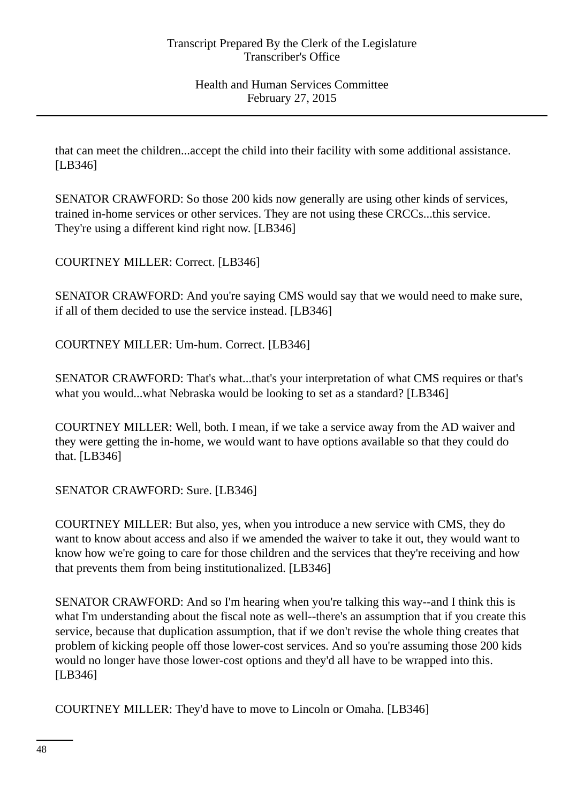that can meet the children...accept the child into their facility with some additional assistance. [LB346]

SENATOR CRAWFORD: So those 200 kids now generally are using other kinds of services, trained in-home services or other services. They are not using these CRCCs...this service. They're using a different kind right now. [LB346]

COURTNEY MILLER: Correct. [LB346]

SENATOR CRAWFORD: And you're saying CMS would say that we would need to make sure, if all of them decided to use the service instead. [LB346]

COURTNEY MILLER: Um-hum. Correct. [LB346]

SENATOR CRAWFORD: That's what...that's your interpretation of what CMS requires or that's what you would...what Nebraska would be looking to set as a standard? [LB346]

COURTNEY MILLER: Well, both. I mean, if we take a service away from the AD waiver and they were getting the in-home, we would want to have options available so that they could do that. [LB346]

SENATOR CRAWFORD: Sure. [LB346]

COURTNEY MILLER: But also, yes, when you introduce a new service with CMS, they do want to know about access and also if we amended the waiver to take it out, they would want to know how we're going to care for those children and the services that they're receiving and how that prevents them from being institutionalized. [LB346]

SENATOR CRAWFORD: And so I'm hearing when you're talking this way--and I think this is what I'm understanding about the fiscal note as well--there's an assumption that if you create this service, because that duplication assumption, that if we don't revise the whole thing creates that problem of kicking people off those lower-cost services. And so you're assuming those 200 kids would no longer have those lower-cost options and they'd all have to be wrapped into this. [LB346]

COURTNEY MILLER: They'd have to move to Lincoln or Omaha. [LB346]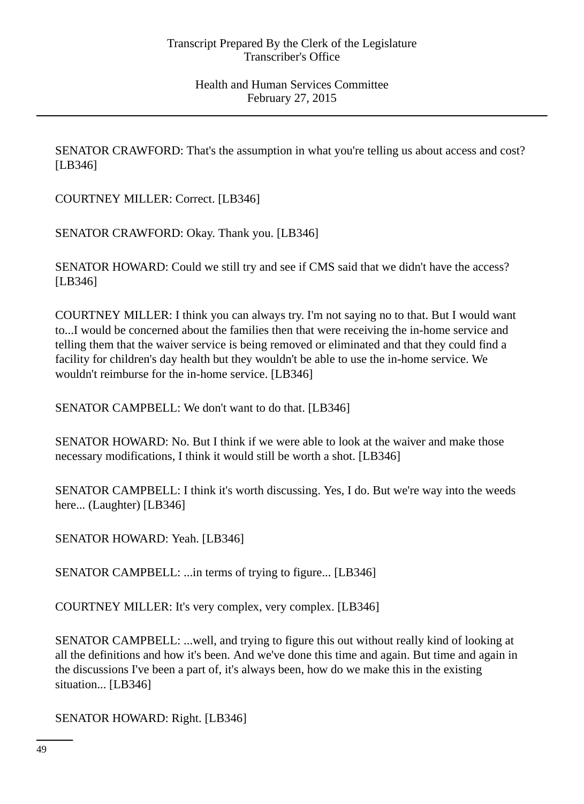SENATOR CRAWFORD: That's the assumption in what you're telling us about access and cost? [LB346]

COURTNEY MILLER: Correct. [LB346]

SENATOR CRAWFORD: Okay. Thank you. [LB346]

SENATOR HOWARD: Could we still try and see if CMS said that we didn't have the access? [LB346]

COURTNEY MILLER: I think you can always try. I'm not saying no to that. But I would want to...I would be concerned about the families then that were receiving the in-home service and telling them that the waiver service is being removed or eliminated and that they could find a facility for children's day health but they wouldn't be able to use the in-home service. We wouldn't reimburse for the in-home service. [LB346]

SENATOR CAMPBELL: We don't want to do that. [LB346]

SENATOR HOWARD: No. But I think if we were able to look at the waiver and make those necessary modifications, I think it would still be worth a shot. [LB346]

SENATOR CAMPBELL: I think it's worth discussing. Yes, I do. But we're way into the weeds here... (Laughter) [LB346]

SENATOR HOWARD: Yeah. [LB346]

SENATOR CAMPBELL: ...in terms of trying to figure... [LB346]

COURTNEY MILLER: It's very complex, very complex. [LB346]

SENATOR CAMPBELL: ...well, and trying to figure this out without really kind of looking at all the definitions and how it's been. And we've done this time and again. But time and again in the discussions I've been a part of, it's always been, how do we make this in the existing situation... [LB346]

SENATOR HOWARD: Right. [LB346]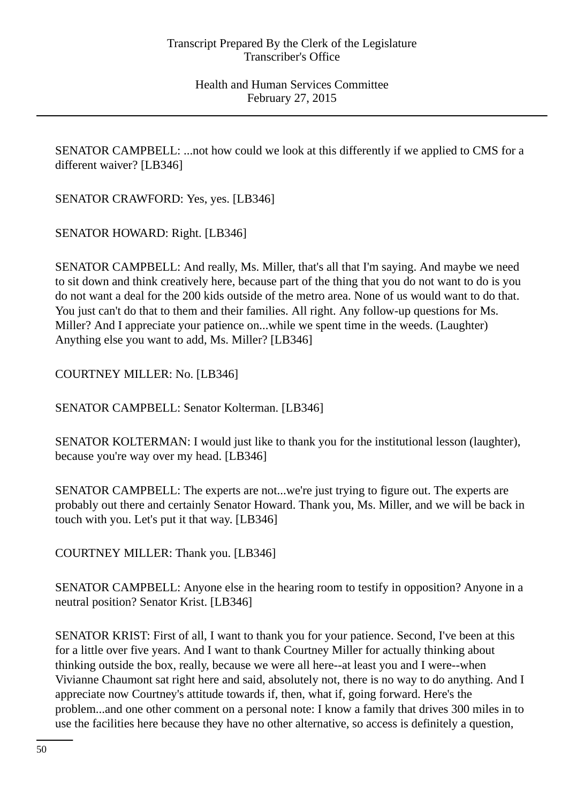SENATOR CAMPBELL: ...not how could we look at this differently if we applied to CMS for a different waiver? [LB346]

SENATOR CRAWFORD: Yes, yes. [LB346]

SENATOR HOWARD: Right. [LB346]

SENATOR CAMPBELL: And really, Ms. Miller, that's all that I'm saying. And maybe we need to sit down and think creatively here, because part of the thing that you do not want to do is you do not want a deal for the 200 kids outside of the metro area. None of us would want to do that. You just can't do that to them and their families. All right. Any follow-up questions for Ms. Miller? And I appreciate your patience on...while we spent time in the weeds. (Laughter) Anything else you want to add, Ms. Miller? [LB346]

COURTNEY MILLER: No. [LB346]

SENATOR CAMPBELL: Senator Kolterman. [LB346]

SENATOR KOLTERMAN: I would just like to thank you for the institutional lesson (laughter), because you're way over my head. [LB346]

SENATOR CAMPBELL: The experts are not...we're just trying to figure out. The experts are probably out there and certainly Senator Howard. Thank you, Ms. Miller, and we will be back in touch with you. Let's put it that way. [LB346]

COURTNEY MILLER: Thank you. [LB346]

SENATOR CAMPBELL: Anyone else in the hearing room to testify in opposition? Anyone in a neutral position? Senator Krist. [LB346]

SENATOR KRIST: First of all, I want to thank you for your patience. Second, I've been at this for a little over five years. And I want to thank Courtney Miller for actually thinking about thinking outside the box, really, because we were all here--at least you and I were--when Vivianne Chaumont sat right here and said, absolutely not, there is no way to do anything. And I appreciate now Courtney's attitude towards if, then, what if, going forward. Here's the problem...and one other comment on a personal note: I know a family that drives 300 miles in to use the facilities here because they have no other alternative, so access is definitely a question,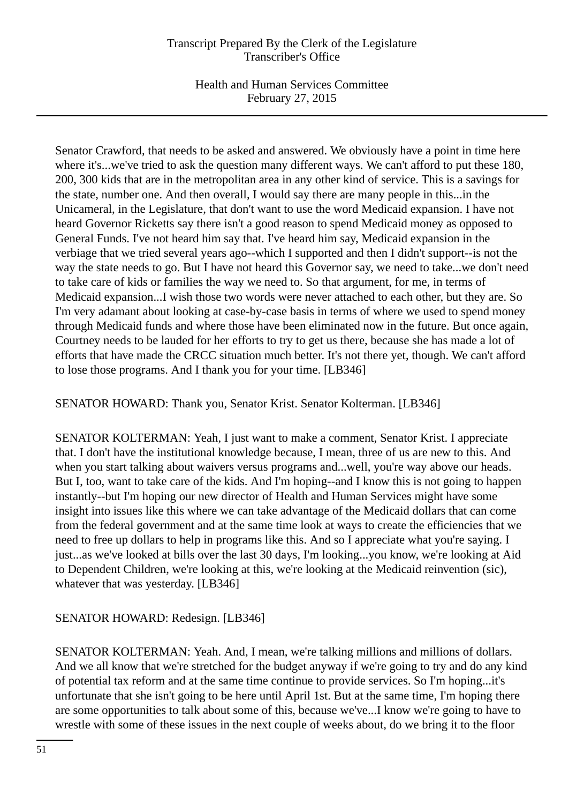Health and Human Services Committee February 27, 2015

Senator Crawford, that needs to be asked and answered. We obviously have a point in time here where it's...we've tried to ask the question many different ways. We can't afford to put these 180, 200, 300 kids that are in the metropolitan area in any other kind of service. This is a savings for the state, number one. And then overall, I would say there are many people in this...in the Unicameral, in the Legislature, that don't want to use the word Medicaid expansion. I have not heard Governor Ricketts say there isn't a good reason to spend Medicaid money as opposed to General Funds. I've not heard him say that. I've heard him say, Medicaid expansion in the verbiage that we tried several years ago--which I supported and then I didn't support--is not the way the state needs to go. But I have not heard this Governor say, we need to take...we don't need to take care of kids or families the way we need to. So that argument, for me, in terms of Medicaid expansion...I wish those two words were never attached to each other, but they are. So I'm very adamant about looking at case-by-case basis in terms of where we used to spend money through Medicaid funds and where those have been eliminated now in the future. But once again, Courtney needs to be lauded for her efforts to try to get us there, because she has made a lot of efforts that have made the CRCC situation much better. It's not there yet, though. We can't afford to lose those programs. And I thank you for your time. [LB346]

SENATOR HOWARD: Thank you, Senator Krist. Senator Kolterman. [LB346]

SENATOR KOLTERMAN: Yeah, I just want to make a comment, Senator Krist. I appreciate that. I don't have the institutional knowledge because, I mean, three of us are new to this. And when you start talking about waivers versus programs and...well, you're way above our heads. But I, too, want to take care of the kids. And I'm hoping--and I know this is not going to happen instantly--but I'm hoping our new director of Health and Human Services might have some insight into issues like this where we can take advantage of the Medicaid dollars that can come from the federal government and at the same time look at ways to create the efficiencies that we need to free up dollars to help in programs like this. And so I appreciate what you're saying. I just...as we've looked at bills over the last 30 days, I'm looking...you know, we're looking at Aid to Dependent Children, we're looking at this, we're looking at the Medicaid reinvention (sic), whatever that was yesterday. [LB346]

# SENATOR HOWARD: Redesign. [LB346]

SENATOR KOLTERMAN: Yeah. And, I mean, we're talking millions and millions of dollars. And we all know that we're stretched for the budget anyway if we're going to try and do any kind of potential tax reform and at the same time continue to provide services. So I'm hoping...it's unfortunate that she isn't going to be here until April 1st. But at the same time, I'm hoping there are some opportunities to talk about some of this, because we've...I know we're going to have to wrestle with some of these issues in the next couple of weeks about, do we bring it to the floor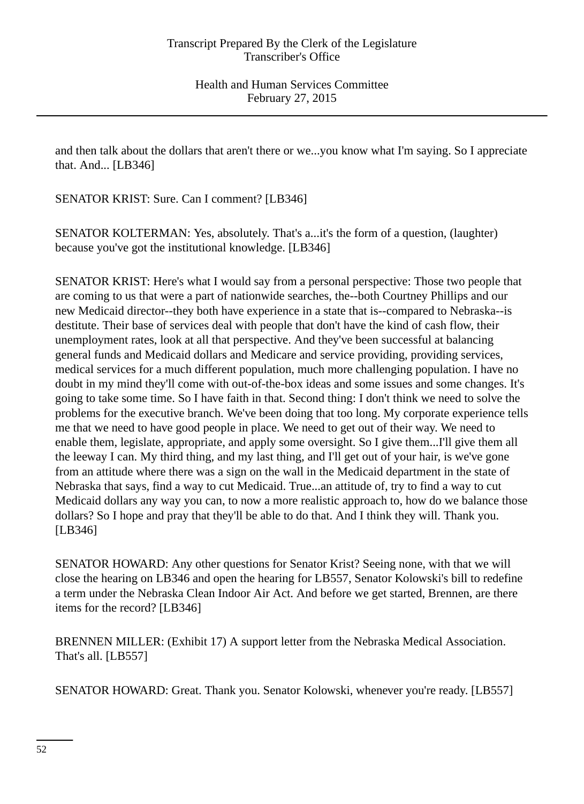and then talk about the dollars that aren't there or we...you know what I'm saying. So I appreciate that. And... [LB346]

SENATOR KRIST: Sure. Can I comment? [LB346]

SENATOR KOLTERMAN: Yes, absolutely. That's a...it's the form of a question, (laughter) because you've got the institutional knowledge. [LB346]

SENATOR KRIST: Here's what I would say from a personal perspective: Those two people that are coming to us that were a part of nationwide searches, the--both Courtney Phillips and our new Medicaid director--they both have experience in a state that is--compared to Nebraska--is destitute. Their base of services deal with people that don't have the kind of cash flow, their unemployment rates, look at all that perspective. And they've been successful at balancing general funds and Medicaid dollars and Medicare and service providing, providing services, medical services for a much different population, much more challenging population. I have no doubt in my mind they'll come with out-of-the-box ideas and some issues and some changes. It's going to take some time. So I have faith in that. Second thing: I don't think we need to solve the problems for the executive branch. We've been doing that too long. My corporate experience tells me that we need to have good people in place. We need to get out of their way. We need to enable them, legislate, appropriate, and apply some oversight. So I give them...I'll give them all the leeway I can. My third thing, and my last thing, and I'll get out of your hair, is we've gone from an attitude where there was a sign on the wall in the Medicaid department in the state of Nebraska that says, find a way to cut Medicaid. True...an attitude of, try to find a way to cut Medicaid dollars any way you can, to now a more realistic approach to, how do we balance those dollars? So I hope and pray that they'll be able to do that. And I think they will. Thank you. [LB346]

SENATOR HOWARD: Any other questions for Senator Krist? Seeing none, with that we will close the hearing on LB346 and open the hearing for LB557, Senator Kolowski's bill to redefine a term under the Nebraska Clean Indoor Air Act. And before we get started, Brennen, are there items for the record? [LB346]

BRENNEN MILLER: (Exhibit 17) A support letter from the Nebraska Medical Association. That's all. [LB557]

SENATOR HOWARD: Great. Thank you. Senator Kolowski, whenever you're ready. [LB557]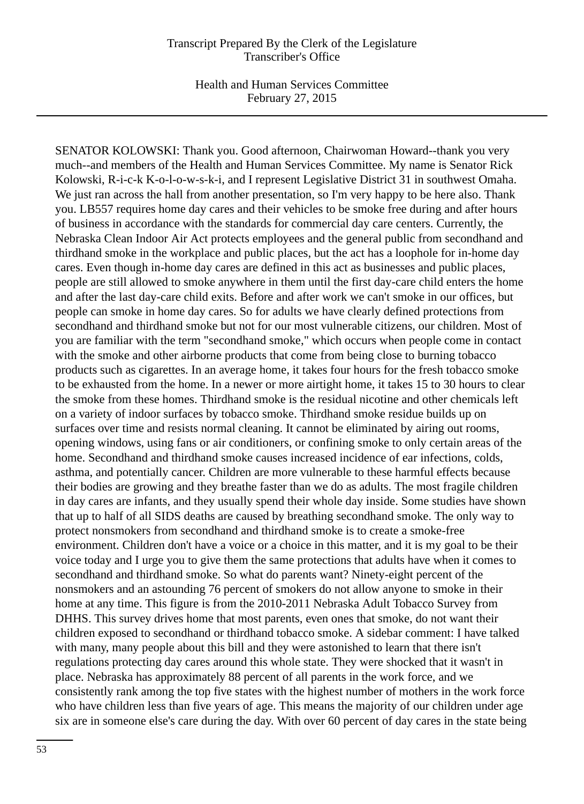Health and Human Services Committee February 27, 2015

SENATOR KOLOWSKI: Thank you. Good afternoon, Chairwoman Howard--thank you very much--and members of the Health and Human Services Committee. My name is Senator Rick Kolowski, R-i-c-k K-o-l-o-w-s-k-i, and I represent Legislative District 31 in southwest Omaha. We just ran across the hall from another presentation, so I'm very happy to be here also. Thank you. LB557 requires home day cares and their vehicles to be smoke free during and after hours of business in accordance with the standards for commercial day care centers. Currently, the Nebraska Clean Indoor Air Act protects employees and the general public from secondhand and thirdhand smoke in the workplace and public places, but the act has a loophole for in-home day cares. Even though in-home day cares are defined in this act as businesses and public places, people are still allowed to smoke anywhere in them until the first day-care child enters the home and after the last day-care child exits. Before and after work we can't smoke in our offices, but people can smoke in home day cares. So for adults we have clearly defined protections from secondhand and thirdhand smoke but not for our most vulnerable citizens, our children. Most of you are familiar with the term "secondhand smoke," which occurs when people come in contact with the smoke and other airborne products that come from being close to burning tobacco products such as cigarettes. In an average home, it takes four hours for the fresh tobacco smoke to be exhausted from the home. In a newer or more airtight home, it takes 15 to 30 hours to clear the smoke from these homes. Thirdhand smoke is the residual nicotine and other chemicals left on a variety of indoor surfaces by tobacco smoke. Thirdhand smoke residue builds up on surfaces over time and resists normal cleaning. It cannot be eliminated by airing out rooms, opening windows, using fans or air conditioners, or confining smoke to only certain areas of the home. Secondhand and thirdhand smoke causes increased incidence of ear infections, colds, asthma, and potentially cancer. Children are more vulnerable to these harmful effects because their bodies are growing and they breathe faster than we do as adults. The most fragile children in day cares are infants, and they usually spend their whole day inside. Some studies have shown that up to half of all SIDS deaths are caused by breathing secondhand smoke. The only way to protect nonsmokers from secondhand and thirdhand smoke is to create a smoke-free environment. Children don't have a voice or a choice in this matter, and it is my goal to be their voice today and I urge you to give them the same protections that adults have when it comes to secondhand and thirdhand smoke. So what do parents want? Ninety-eight percent of the nonsmokers and an astounding 76 percent of smokers do not allow anyone to smoke in their home at any time. This figure is from the 2010-2011 Nebraska Adult Tobacco Survey from DHHS. This survey drives home that most parents, even ones that smoke, do not want their children exposed to secondhand or thirdhand tobacco smoke. A sidebar comment: I have talked with many, many people about this bill and they were astonished to learn that there isn't regulations protecting day cares around this whole state. They were shocked that it wasn't in place. Nebraska has approximately 88 percent of all parents in the work force, and we consistently rank among the top five states with the highest number of mothers in the work force who have children less than five years of age. This means the majority of our children under age six are in someone else's care during the day. With over 60 percent of day cares in the state being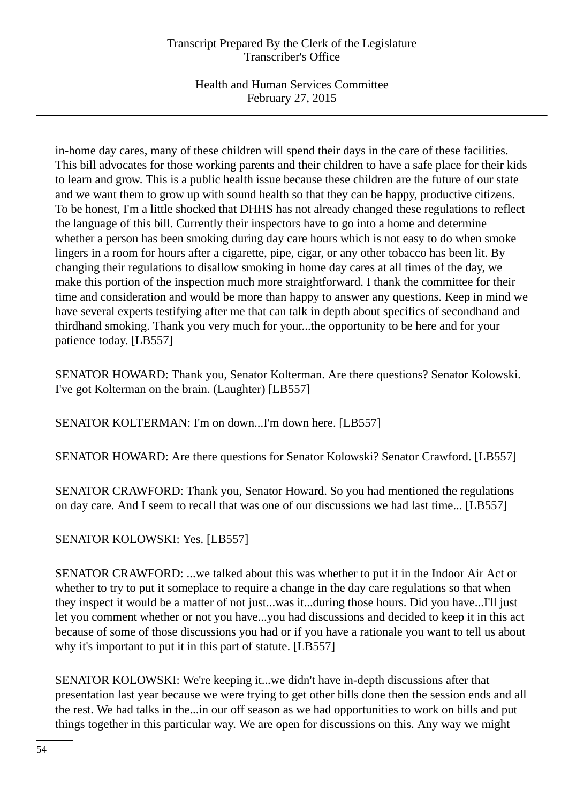Health and Human Services Committee February 27, 2015

in-home day cares, many of these children will spend their days in the care of these facilities. This bill advocates for those working parents and their children to have a safe place for their kids to learn and grow. This is a public health issue because these children are the future of our state and we want them to grow up with sound health so that they can be happy, productive citizens. To be honest, I'm a little shocked that DHHS has not already changed these regulations to reflect the language of this bill. Currently their inspectors have to go into a home and determine whether a person has been smoking during day care hours which is not easy to do when smoke lingers in a room for hours after a cigarette, pipe, cigar, or any other tobacco has been lit. By changing their regulations to disallow smoking in home day cares at all times of the day, we make this portion of the inspection much more straightforward. I thank the committee for their time and consideration and would be more than happy to answer any questions. Keep in mind we have several experts testifying after me that can talk in depth about specifics of secondhand and thirdhand smoking. Thank you very much for your...the opportunity to be here and for your patience today. [LB557]

SENATOR HOWARD: Thank you, Senator Kolterman. Are there questions? Senator Kolowski. I've got Kolterman on the brain. (Laughter) [LB557]

SENATOR KOLTERMAN: I'm on down...I'm down here. [LB557]

SENATOR HOWARD: Are there questions for Senator Kolowski? Senator Crawford. [LB557]

SENATOR CRAWFORD: Thank you, Senator Howard. So you had mentioned the regulations on day care. And I seem to recall that was one of our discussions we had last time... [LB557]

SENATOR KOLOWSKI: Yes. [LB557]

SENATOR CRAWFORD: ...we talked about this was whether to put it in the Indoor Air Act or whether to try to put it someplace to require a change in the day care regulations so that when they inspect it would be a matter of not just...was it...during those hours. Did you have...I'll just let you comment whether or not you have...you had discussions and decided to keep it in this act because of some of those discussions you had or if you have a rationale you want to tell us about why it's important to put it in this part of statute. [LB557]

SENATOR KOLOWSKI: We're keeping it...we didn't have in-depth discussions after that presentation last year because we were trying to get other bills done then the session ends and all the rest. We had talks in the...in our off season as we had opportunities to work on bills and put things together in this particular way. We are open for discussions on this. Any way we might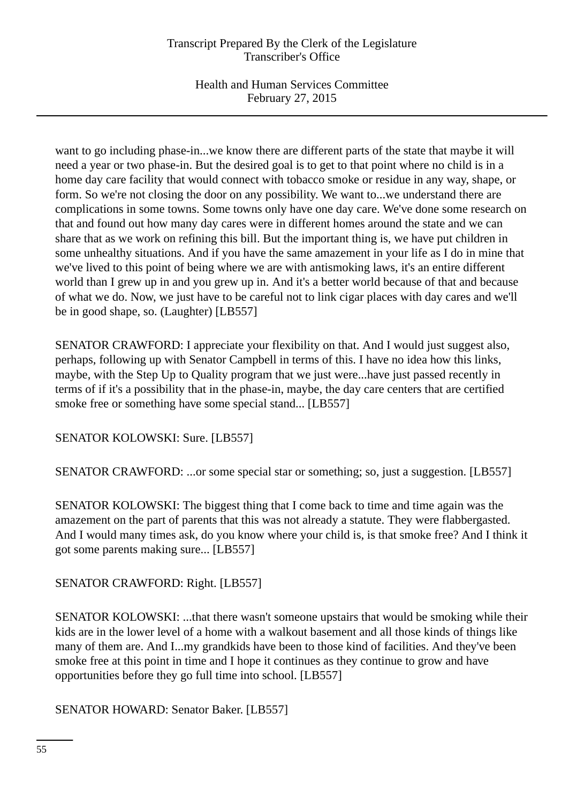Health and Human Services Committee February 27, 2015

want to go including phase-in...we know there are different parts of the state that maybe it will need a year or two phase-in. But the desired goal is to get to that point where no child is in a home day care facility that would connect with tobacco smoke or residue in any way, shape, or form. So we're not closing the door on any possibility. We want to...we understand there are complications in some towns. Some towns only have one day care. We've done some research on that and found out how many day cares were in different homes around the state and we can share that as we work on refining this bill. But the important thing is, we have put children in some unhealthy situations. And if you have the same amazement in your life as I do in mine that we've lived to this point of being where we are with antismoking laws, it's an entire different world than I grew up in and you grew up in. And it's a better world because of that and because of what we do. Now, we just have to be careful not to link cigar places with day cares and we'll be in good shape, so. (Laughter) [LB557]

SENATOR CRAWFORD: I appreciate your flexibility on that. And I would just suggest also, perhaps, following up with Senator Campbell in terms of this. I have no idea how this links, maybe, with the Step Up to Quality program that we just were...have just passed recently in terms of if it's a possibility that in the phase-in, maybe, the day care centers that are certified smoke free or something have some special stand... [LB557]

SENATOR KOLOWSKI: Sure. [LB557]

SENATOR CRAWFORD: ...or some special star or something; so, just a suggestion. [LB557]

SENATOR KOLOWSKI: The biggest thing that I come back to time and time again was the amazement on the part of parents that this was not already a statute. They were flabbergasted. And I would many times ask, do you know where your child is, is that smoke free? And I think it got some parents making sure... [LB557]

# SENATOR CRAWFORD: Right. [LB557]

SENATOR KOLOWSKI: ...that there wasn't someone upstairs that would be smoking while their kids are in the lower level of a home with a walkout basement and all those kinds of things like many of them are. And I...my grandkids have been to those kind of facilities. And they've been smoke free at this point in time and I hope it continues as they continue to grow and have opportunities before they go full time into school. [LB557]

SENATOR HOWARD: Senator Baker. [LB557]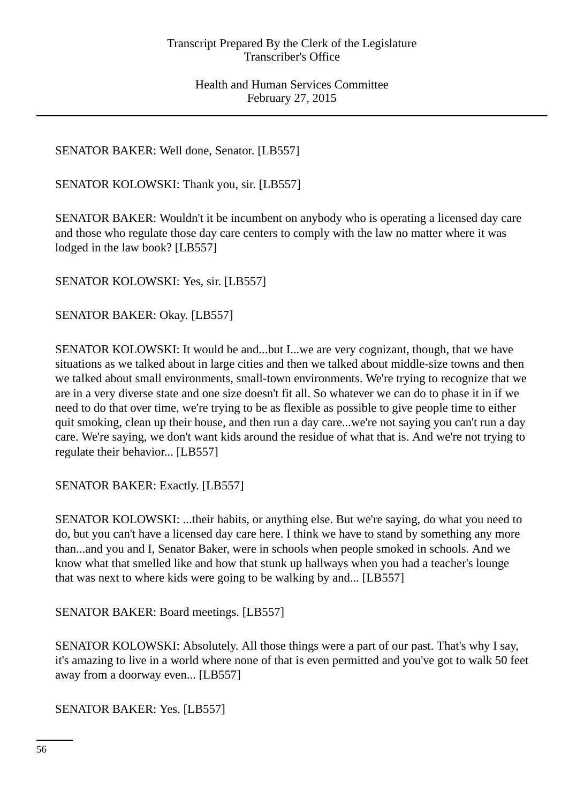# SENATOR BAKER: Well done, Senator. [LB557]

SENATOR KOLOWSKI: Thank you, sir. [LB557]

SENATOR BAKER: Wouldn't it be incumbent on anybody who is operating a licensed day care and those who regulate those day care centers to comply with the law no matter where it was lodged in the law book? [LB557]

SENATOR KOLOWSKI: Yes, sir. [LB557]

SENATOR BAKER: Okay. [LB557]

SENATOR KOLOWSKI: It would be and...but I...we are very cognizant, though, that we have situations as we talked about in large cities and then we talked about middle-size towns and then we talked about small environments, small-town environments. We're trying to recognize that we are in a very diverse state and one size doesn't fit all. So whatever we can do to phase it in if we need to do that over time, we're trying to be as flexible as possible to give people time to either quit smoking, clean up their house, and then run a day care...we're not saying you can't run a day care. We're saying, we don't want kids around the residue of what that is. And we're not trying to regulate their behavior... [LB557]

SENATOR BAKER: Exactly. [LB557]

SENATOR KOLOWSKI: ...their habits, or anything else. But we're saying, do what you need to do, but you can't have a licensed day care here. I think we have to stand by something any more than...and you and I, Senator Baker, were in schools when people smoked in schools. And we know what that smelled like and how that stunk up hallways when you had a teacher's lounge that was next to where kids were going to be walking by and... [LB557]

SENATOR BAKER: Board meetings. [LB557]

SENATOR KOLOWSKI: Absolutely. All those things were a part of our past. That's why I say, it's amazing to live in a world where none of that is even permitted and you've got to walk 50 feet away from a doorway even... [LB557]

SENATOR BAKER: Yes. [LB557]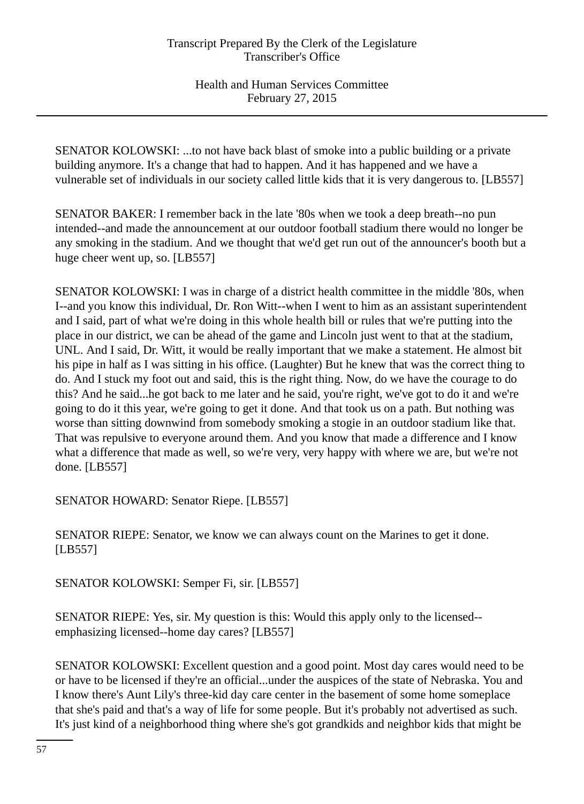SENATOR KOLOWSKI: ...to not have back blast of smoke into a public building or a private building anymore. It's a change that had to happen. And it has happened and we have a vulnerable set of individuals in our society called little kids that it is very dangerous to. [LB557]

SENATOR BAKER: I remember back in the late '80s when we took a deep breath--no pun intended--and made the announcement at our outdoor football stadium there would no longer be any smoking in the stadium. And we thought that we'd get run out of the announcer's booth but a huge cheer went up, so. [LB557]

SENATOR KOLOWSKI: I was in charge of a district health committee in the middle '80s, when I--and you know this individual, Dr. Ron Witt--when I went to him as an assistant superintendent and I said, part of what we're doing in this whole health bill or rules that we're putting into the place in our district, we can be ahead of the game and Lincoln just went to that at the stadium, UNL. And I said, Dr. Witt, it would be really important that we make a statement. He almost bit his pipe in half as I was sitting in his office. (Laughter) But he knew that was the correct thing to do. And I stuck my foot out and said, this is the right thing. Now, do we have the courage to do this? And he said...he got back to me later and he said, you're right, we've got to do it and we're going to do it this year, we're going to get it done. And that took us on a path. But nothing was worse than sitting downwind from somebody smoking a stogie in an outdoor stadium like that. That was repulsive to everyone around them. And you know that made a difference and I know what a difference that made as well, so we're very, very happy with where we are, but we're not done. [LB557]

SENATOR HOWARD: Senator Riepe. [LB557]

SENATOR RIEPE: Senator, we know we can always count on the Marines to get it done. [LB557]

SENATOR KOLOWSKI: Semper Fi, sir. [LB557]

SENATOR RIEPE: Yes, sir. My question is this: Would this apply only to the licensed- emphasizing licensed--home day cares? [LB557]

SENATOR KOLOWSKI: Excellent question and a good point. Most day cares would need to be or have to be licensed if they're an official...under the auspices of the state of Nebraska. You and I know there's Aunt Lily's three-kid day care center in the basement of some home someplace that she's paid and that's a way of life for some people. But it's probably not advertised as such. It's just kind of a neighborhood thing where she's got grandkids and neighbor kids that might be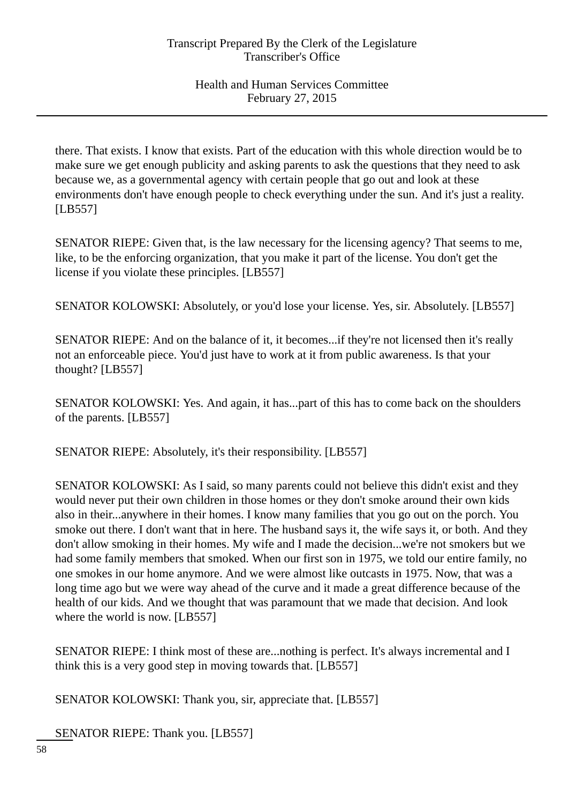there. That exists. I know that exists. Part of the education with this whole direction would be to make sure we get enough publicity and asking parents to ask the questions that they need to ask because we, as a governmental agency with certain people that go out and look at these environments don't have enough people to check everything under the sun. And it's just a reality. [LB557]

SENATOR RIEPE: Given that, is the law necessary for the licensing agency? That seems to me, like, to be the enforcing organization, that you make it part of the license. You don't get the license if you violate these principles. [LB557]

SENATOR KOLOWSKI: Absolutely, or you'd lose your license. Yes, sir. Absolutely. [LB557]

SENATOR RIEPE: And on the balance of it, it becomes...if they're not licensed then it's really not an enforceable piece. You'd just have to work at it from public awareness. Is that your thought? [LB557]

SENATOR KOLOWSKI: Yes. And again, it has...part of this has to come back on the shoulders of the parents. [LB557]

SENATOR RIEPE: Absolutely, it's their responsibility. [LB557]

SENATOR KOLOWSKI: As I said, so many parents could not believe this didn't exist and they would never put their own children in those homes or they don't smoke around their own kids also in their...anywhere in their homes. I know many families that you go out on the porch. You smoke out there. I don't want that in here. The husband says it, the wife says it, or both. And they don't allow smoking in their homes. My wife and I made the decision...we're not smokers but we had some family members that smoked. When our first son in 1975, we told our entire family, no one smokes in our home anymore. And we were almost like outcasts in 1975. Now, that was a long time ago but we were way ahead of the curve and it made a great difference because of the health of our kids. And we thought that was paramount that we made that decision. And look where the world is now. [LB557]

SENATOR RIEPE: I think most of these are...nothing is perfect. It's always incremental and I think this is a very good step in moving towards that. [LB557]

SENATOR KOLOWSKI: Thank you, sir, appreciate that. [LB557]

SENATOR RIEPE: Thank you. [LB557]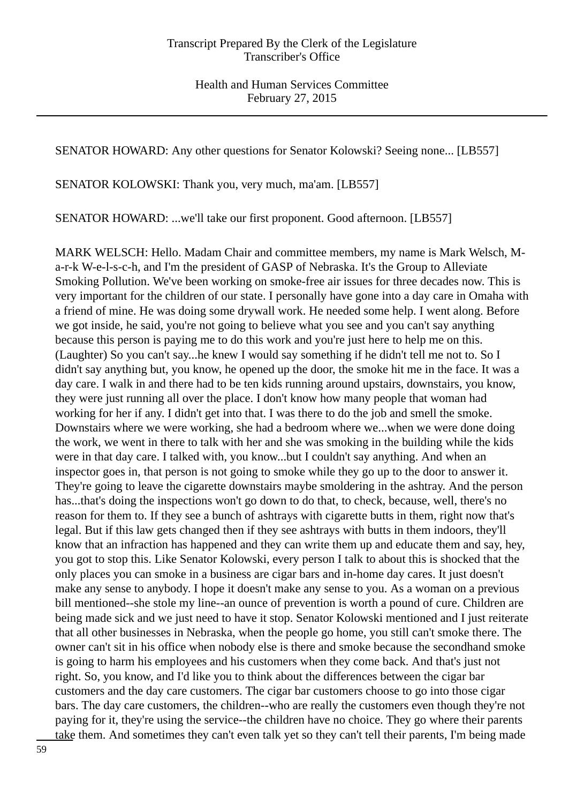SENATOR HOWARD: Any other questions for Senator Kolowski? Seeing none... [LB557]

SENATOR KOLOWSKI: Thank you, very much, ma'am. [LB557]

SENATOR HOWARD: ...we'll take our first proponent. Good afternoon. [LB557]

MARK WELSCH: Hello. Madam Chair and committee members, my name is Mark Welsch, Ma-r-k W-e-l-s-c-h, and I'm the president of GASP of Nebraska. It's the Group to Alleviate Smoking Pollution. We've been working on smoke-free air issues for three decades now. This is very important for the children of our state. I personally have gone into a day care in Omaha with a friend of mine. He was doing some drywall work. He needed some help. I went along. Before we got inside, he said, you're not going to believe what you see and you can't say anything because this person is paying me to do this work and you're just here to help me on this. (Laughter) So you can't say...he knew I would say something if he didn't tell me not to. So I didn't say anything but, you know, he opened up the door, the smoke hit me in the face. It was a day care. I walk in and there had to be ten kids running around upstairs, downstairs, you know, they were just running all over the place. I don't know how many people that woman had working for her if any. I didn't get into that. I was there to do the job and smell the smoke. Downstairs where we were working, she had a bedroom where we...when we were done doing the work, we went in there to talk with her and she was smoking in the building while the kids were in that day care. I talked with, you know...but I couldn't say anything. And when an inspector goes in, that person is not going to smoke while they go up to the door to answer it. They're going to leave the cigarette downstairs maybe smoldering in the ashtray. And the person has...that's doing the inspections won't go down to do that, to check, because, well, there's no reason for them to. If they see a bunch of ashtrays with cigarette butts in them, right now that's legal. But if this law gets changed then if they see ashtrays with butts in them indoors, they'll know that an infraction has happened and they can write them up and educate them and say, hey, you got to stop this. Like Senator Kolowski, every person I talk to about this is shocked that the only places you can smoke in a business are cigar bars and in-home day cares. It just doesn't make any sense to anybody. I hope it doesn't make any sense to you. As a woman on a previous bill mentioned--she stole my line--an ounce of prevention is worth a pound of cure. Children are being made sick and we just need to have it stop. Senator Kolowski mentioned and I just reiterate that all other businesses in Nebraska, when the people go home, you still can't smoke there. The owner can't sit in his office when nobody else is there and smoke because the secondhand smoke is going to harm his employees and his customers when they come back. And that's just not right. So, you know, and I'd like you to think about the differences between the cigar bar customers and the day care customers. The cigar bar customers choose to go into those cigar bars. The day care customers, the children--who are really the customers even though they're not paying for it, they're using the service--the children have no choice. They go where their parents take them. And sometimes they can't even talk yet so they can't tell their parents, I'm being made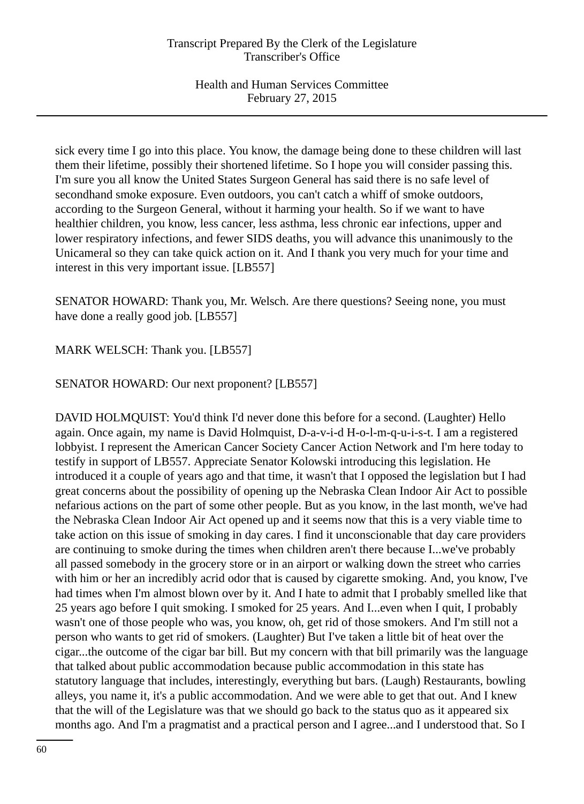sick every time I go into this place. You know, the damage being done to these children will last them their lifetime, possibly their shortened lifetime. So I hope you will consider passing this. I'm sure you all know the United States Surgeon General has said there is no safe level of secondhand smoke exposure. Even outdoors, you can't catch a whiff of smoke outdoors, according to the Surgeon General, without it harming your health. So if we want to have healthier children, you know, less cancer, less asthma, less chronic ear infections, upper and lower respiratory infections, and fewer SIDS deaths, you will advance this unanimously to the Unicameral so they can take quick action on it. And I thank you very much for your time and interest in this very important issue. [LB557]

SENATOR HOWARD: Thank you, Mr. Welsch. Are there questions? Seeing none, you must have done a really good job. [LB557]

MARK WELSCH: Thank you. [LB557]

SENATOR HOWARD: Our next proponent? [LB557]

DAVID HOLMQUIST: You'd think I'd never done this before for a second. (Laughter) Hello again. Once again, my name is David Holmquist, D-a-v-i-d H-o-l-m-q-u-i-s-t. I am a registered lobbyist. I represent the American Cancer Society Cancer Action Network and I'm here today to testify in support of LB557. Appreciate Senator Kolowski introducing this legislation. He introduced it a couple of years ago and that time, it wasn't that I opposed the legislation but I had great concerns about the possibility of opening up the Nebraska Clean Indoor Air Act to possible nefarious actions on the part of some other people. But as you know, in the last month, we've had the Nebraska Clean Indoor Air Act opened up and it seems now that this is a very viable time to take action on this issue of smoking in day cares. I find it unconscionable that day care providers are continuing to smoke during the times when children aren't there because I...we've probably all passed somebody in the grocery store or in an airport or walking down the street who carries with him or her an incredibly acrid odor that is caused by cigarette smoking. And, you know, I've had times when I'm almost blown over by it. And I hate to admit that I probably smelled like that 25 years ago before I quit smoking. I smoked for 25 years. And I...even when I quit, I probably wasn't one of those people who was, you know, oh, get rid of those smokers. And I'm still not a person who wants to get rid of smokers. (Laughter) But I've taken a little bit of heat over the cigar...the outcome of the cigar bar bill. But my concern with that bill primarily was the language that talked about public accommodation because public accommodation in this state has statutory language that includes, interestingly, everything but bars. (Laugh) Restaurants, bowling alleys, you name it, it's a public accommodation. And we were able to get that out. And I knew that the will of the Legislature was that we should go back to the status quo as it appeared six months ago. And I'm a pragmatist and a practical person and I agree...and I understood that. So I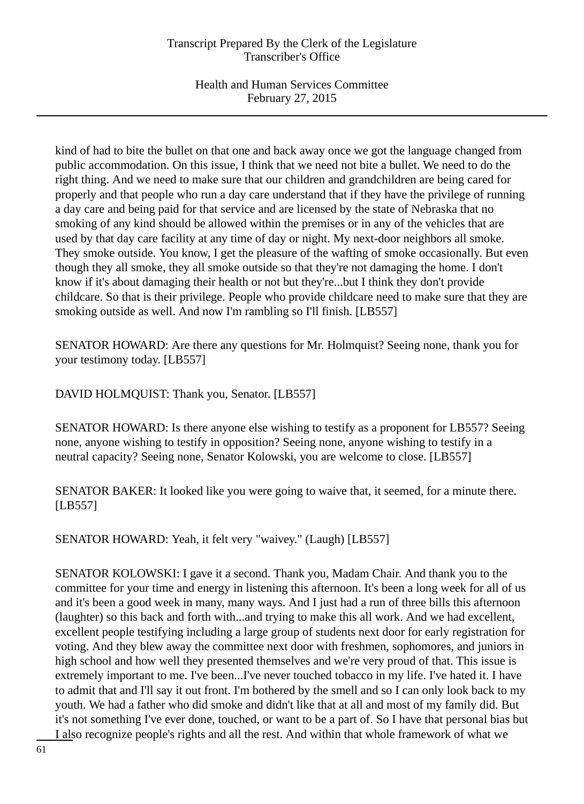kind of had to bite the bullet on that one and back away once we got the language changed from public accommodation. On this issue, I think that we need not bite a bullet. We need to do the right thing. And we need to make sure that our children and grandchildren are being cared for properly and that people who run a day care understand that if they have the privilege of running a day care and being paid for that service and are licensed by the state of Nebraska that no smoking of any kind should be allowed within the premises or in any of the vehicles that are used by that day care facility at any time of day or night. My next-door neighbors all smoke. They smoke outside. You know, I get the pleasure of the wafting of smoke occasionally. But even though they all smoke, they all smoke outside so that they're not damaging the home. I don't know if it's about damaging their health or not but they're...but I think they don't provide childcare. So that is their privilege. People who provide childcare need to make sure that they are smoking outside as well. And now I'm rambling so I'll finish. [LB557]

SENATOR HOWARD: Are there any questions for Mr. Holmquist? Seeing none, thank you for your testimony today. [LB557]

DAVID HOLMQUIST: Thank you, Senator. [LB557]

SENATOR HOWARD: Is there anyone else wishing to testify as a proponent for LB557? Seeing none, anyone wishing to testify in opposition? Seeing none, anyone wishing to testify in a neutral capacity? Seeing none, Senator Kolowski, you are welcome to close. [LB557]

SENATOR BAKER: It looked like you were going to waive that, it seemed, for a minute there. [LB557]

SENATOR HOWARD: Yeah, it felt very "waivey." (Laugh) [LB557]

SENATOR KOLOWSKI: I gave it a second. Thank you, Madam Chair. And thank you to the committee for your time and energy in listening this afternoon. It's been a long week for all of us and it's been a good week in many, many ways. And I just had a run of three bills this afternoon (laughter) so this back and forth with...and trying to make this all work. And we had excellent, excellent people testifying including a large group of students next door for early registration for voting. And they blew away the committee next door with freshmen, sophomores, and juniors in high school and how well they presented themselves and we're very proud of that. This issue is extremely important to me. I've been...I've never touched tobacco in my life. I've hated it. I have to admit that and I'll say it out front. I'm bothered by the smell and so I can only look back to my youth. We had a father who did smoke and didn't like that at all and most of my family did. But it's not something I've ever done, touched, or want to be a part of. So I have that personal bias but I also recognize people's rights and all the rest. And within that whole framework of what we